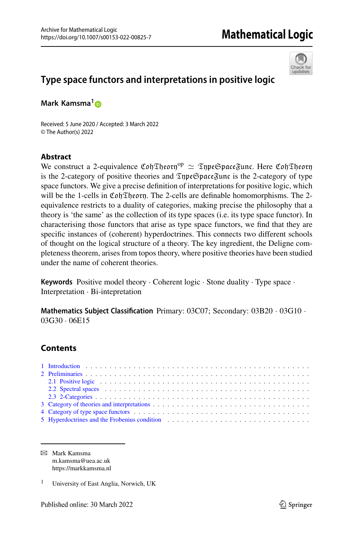

## **Type space functors and interpretations in positive logic**

**Mark Kamsma[1](http://orcid.org/0000-0002-0419-7061)**

Received: 5 June 2020 / Accepted: 3 March 2022 © The Author(s) 2022

#### **Abstract**

We construct a 2-equivalence  $\mathfrak{C}$ oh Theory<sup>op</sup>  $\simeq$  Type Space Func. Here  $\mathfrak{C}$ oh Theory<br>is the 2-category of positive theories and Type Space Func is the 2-category of type is the 2-category of positive theories and  $\mathfrak{TypeSpaceFunc}$  is the 2-category of type space functors. We give a precise definition of interpretations for positive logic, which will be the 1-cells in CohTheory. The 2-cells are definable homomorphisms. The 2equivalence restricts to a duality of categories, making precise the philosophy that a theory is 'the same' as the collection of its type spaces (i.e. its type space functor). In characterising those functors that arise as type space functors, we find that they are specific instances of (coherent) hyperdoctrines. This connects two different schools of thought on the logical structure of a theory. The key ingredient, the Deligne completeness theorem, arises from topos theory, where positive theories have been studied under the name of coherent theories.

**Keywords** Positive model theory · Coherent logic · Stone duality · Type space · Interpretation · Bi-intepretation

**Mathematics Subject Classification** Primary: 03C07; Secondary: 03B20 · 03G10 · 03G30 · 06E15

### **Contents**

| 2.1 Positive logic contains and contained a state of the state of the state of the state of the state of the state of the state of the state of the state of the state of the state of the state of the state of the state of  |
|--------------------------------------------------------------------------------------------------------------------------------------------------------------------------------------------------------------------------------|
| 2.2 Spectral spaces (a) contained a series of the space of the space of the space of the space of the space of the space of the space of the space of the space of the space of the space of the space of the space of the spa |
|                                                                                                                                                                                                                                |
|                                                                                                                                                                                                                                |
|                                                                                                                                                                                                                                |
| 5 Hyperdoctrines and the Frobenius condition (1) and (1) and (1) and (1) and (1) and (1) and (1) and (1) and (1) and (1) and (1) and (1) and (1) and (1) and (1) and (1) and (1) and (1) and (1) and (1) and (1) and (1) and ( |

B Mark Kamsma m.kamsma@uea.ac.uk https://markkamsma.nl

<sup>1</sup> University of East Anglia, Norwich, UK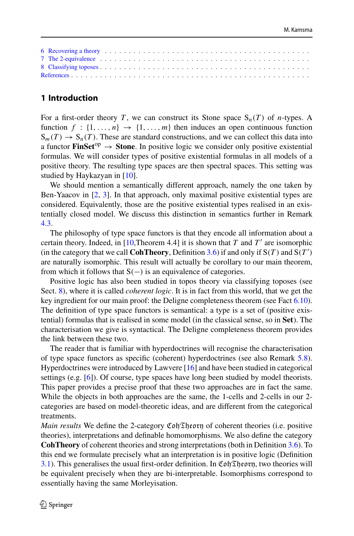| 6 Recovering a theory entries and the set of the set of the set of the set of the set of the set of the set of the set of the set of the set of the set of the set of the set of the set of the set of the set of the set of t |  |  |  |  |  |  |  |  |  |  |  |  |  |  |  |  |
|--------------------------------------------------------------------------------------------------------------------------------------------------------------------------------------------------------------------------------|--|--|--|--|--|--|--|--|--|--|--|--|--|--|--|--|
|                                                                                                                                                                                                                                |  |  |  |  |  |  |  |  |  |  |  |  |  |  |  |  |
|                                                                                                                                                                                                                                |  |  |  |  |  |  |  |  |  |  |  |  |  |  |  |  |
|                                                                                                                                                                                                                                |  |  |  |  |  |  |  |  |  |  |  |  |  |  |  |  |

#### <span id="page-1-0"></span>**1 Introduction**

For a first-order theory *T*, we can construct its Stone space  $S_n(T)$  of *n*-types. A function  $f : \{1, \ldots, n\} \rightarrow \{1, \ldots, m\}$  then induces an open continuous function  $S_m(T) \to S_n(T)$ . These are standard constructions, and we can collect this data into a functor **FinSet**<sup>op</sup>  $\rightarrow$  **Stone**. In positive logic we consider only positive existential formulas. We will consider types of positive existential formulas in all models of a positive theory. The resulting type spaces are then spectral spaces. This setting was studied by Haykazyan in [\[10](#page-27-1)].

We should mention a semantically different approach, namely the one taken by Ben-Yaacov in [\[2,](#page-27-2) [3\]](#page-27-3). In that approach, only maximal positive existential types are considered. Equivalently, those are the positive existential types realised in an existentially closed model. We discuss this distinction in semantics further in Remark [4.3.](#page-8-0)

The philosophy of type space functors is that they encode all information about a certain theory. Indeed, in  $[10,$  $[10,$ Theorem 4.4] it is shown that *T* and *T'* are isomorphic (in the category that we call **CohTheory**, Definition [3.6\)](#page-6-0) if and only if  $S(T)$  and  $S(T')$ are naturally isomorphic. This result will actually be corollary to our main theorem, from which it follows that  $S(-)$  is an equivalence of categories.

Positive logic has also been studied in topos theory via classifying toposes (see Sect. [8\)](#page-24-0), where it is called *coherent logic*. It is in fact from this world, that we get the key ingredient for our main proof: the Deligne completeness theorem (see Fact [6.10\)](#page-21-0). The definition of type space functors is semantical: a type is a set of (positive existential) formulas that is realised in some model (in the classical sense, so in **Set**). The characterisation we give is syntactical. The Deligne completeness theorem provides the link between these two.

The reader that is familiar with hyperdoctrines will recognise the characterisation of type space functors as specific (coherent) hyperdoctrines (see also Remark [5.8\)](#page-18-1). Hyperdoctrines were introduced by Lawvere [\[16](#page-27-4)] and have been studied in categorical settings (e.g. [\[6\]](#page-27-5)). Of course, type spaces have long been studied by model theorists. This paper provides a precise proof that these two approaches are in fact the same. While the objects in both approaches are the same, the 1-cells and 2-cells in our 2 categories are based on model-theoretic ideas, and are different from the categorical treatments.

*Main results* We define the 2-category  $\mathfrak{Coh}\mathfrak{The}$  of coherent theories (i.e. positive theories), interpretations and definable homomorphisms. We also define the category **CohTheory** of coherent theories and strong interpretations (both in Definition [3.6\)](#page-6-0). To this end we formulate precisely what an interpretation is in positive logic (Definition [3.1\)](#page-5-1). This generalises the usual first-order definition. In Coh Theory, two theories will be equivalent precisely when they are bi-interpretable. Isomorphisms correspond to essentially having the same Morleyisation.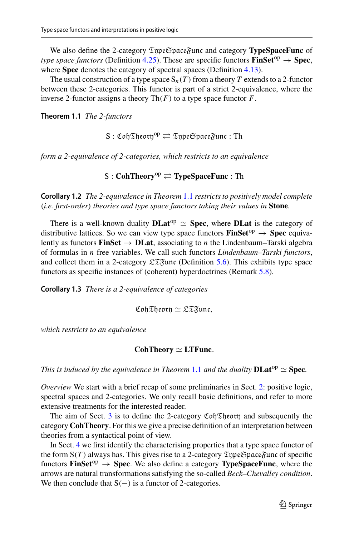We also define the 2-category TypeSpaceFunc and category **TypeSpaceFunc** of *type space functors* (Definition [4.25\)](#page-15-1). These are specific functors **FinSet**<sup>op</sup>  $\rightarrow$  **Spec**, where **Spec** denotes the category of spectral spaces (Definition [4.13\)](#page-10-0).

The usual construction of a type space  $S_n(T)$  from a theory *T* extends to a 2-functor between these 2-categories. This functor is part of a strict 2-equivalence, where the inverse 2-functor assigns a theory Th(*F*) to a type space functor *F*.

<span id="page-2-0"></span>**Theorem 1.1** *The 2-functors*

 $\mathrm{S}:\mathfrak{C}\mathfrak{of}\mathfrak{The}\mathfrak{or}\mathfrak{h}^\mathrm{op}\rightleftarrows\mathfrak{Inp}\mathfrak{e}\mathfrak{S}$ pace $\mathfrak{F}$ unc : Th

*form a 2-equivalence of 2-categories, which restricts to an equivalence*

**S** : **CohTheory<sup>op</sup>**  $\rightleftharpoons$  **<b>TypeSpaceFunc** : Th

<span id="page-2-1"></span>**Corollary 1.2** *The 2-equivalence in Theorem* [1.1](#page-2-0) *restricts to positively model complete* (*i.e. first-order*) *theories and type space functors taking their values in* **Stone***.*

There is a well-known duality  $\bf{DLat}^{op} \simeq \bf{Spec}$ , where  $\bf{DLat}$  is the category of distributive lattices. So we can view type space functors  $\text{FinSet}^{\text{op}} \to \text{Spec}$  equivalently as functors **FinSet**  $\rightarrow$  **DLat**, associating to *n* the Lindenbaum–Tarski algebra of formulas in *n* free variables. We call such functors *Lindenbaum–Tarski functors*, and collect them in a 2-category  $\mathfrak{LT}$ unc (Definition [5.6\)](#page-17-0). This exhibits type space functors as specific instances of (coherent) hyperdoctrines (Remark [5.8\)](#page-18-1).

<span id="page-2-2"></span>**Corollary 1.3** *There is a 2-equivalence of categories*

CohTheory  $\simeq$  LTFunc,

*which restricts to an equivalence*

### $\text{CohTheory} \simeq \text{LTFunc.}$

*This is induced by the equivalence in Theorem* [1.1](#page-2-0) *and the duality*  $\text{DLat}^{\text{op}} \simeq \text{Spec}$ *.* 

*Overview* We start with a brief recap of some preliminaries in Sect. [2:](#page-3-0) positive logic, spectral spaces and 2-categories. We only recall basic definitions, and refer to more extensive treatments for the interested reader.

The aim of Sect. [3](#page-5-0) is to define the 2-category  $\mathfrak{CohT}$ heory and subsequently the category **CohTheory**. For this we give a precise definition of an interpretation between theories from a syntactical point of view.

In Sect. [4](#page-7-0) we first identify the characterising properties that a type space functor of the form  $S(T)$  always has. This gives rise to a 2-category  $\mathfrak{TypeSpace}\mathfrak{Func}$  of specific functors **FinSet**<sup>op</sup>  $\rightarrow$  **Spec**. We also define a category **TypeSpaceFunc**, where the arrows are natural transformations satisfying the so-called *Beck–Chevalley condition*. We then conclude that  $S(-)$  is a functor of 2-categories.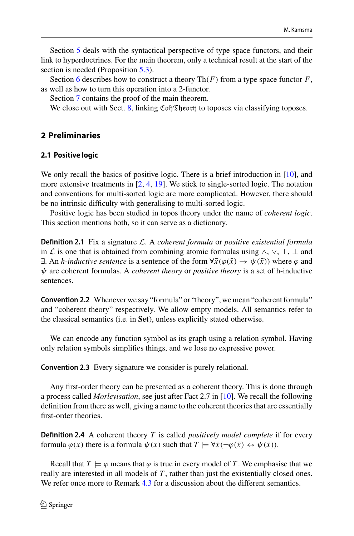Section [5](#page-15-0) deals with the syntactical perspective of type space functors, and their link to hyperdoctrines. For the main theorem, only a technical result at the start of the section is needed (Proposition [5.3\)](#page-16-0).

Section [6](#page-18-0) describes how to construct a theory  $\text{Th}(F)$  from a type space functor  $F$ , as well as how to turn this operation into a 2-functor.

Section [7](#page-22-0) contains the proof of the main theorem.

We close out with Sect. [8,](#page-24-0) linking  $\mathfrak{CohTh}$ eorn to toposes via classifying toposes.

#### <span id="page-3-1"></span><span id="page-3-0"></span>**2 Preliminaries**

# **2.1 Positive logic**

We only recall the basics of positive logic. There is a brief introduction in [\[10](#page-27-1)], and more extensive treatments in [\[2,](#page-27-2) [4,](#page-27-6) [19\]](#page-27-7). We stick to single-sorted logic. The notation and conventions for multi-sorted logic are more complicated. However, there should be no intrinsic difficulty with generalising to multi-sorted logic.

Positive logic has been studied in topos theory under the name of *coherent logic*. This section mentions both, so it can serve as a dictionary.

**Definition 2.1** Fix a signature *L*. A *coherent formula* or *positive existential formula* in *L* is one that is obtained from combining atomic formulas using  $\wedge$ ,  $\vee$ ,  $\top$ ,  $\bot$  and  $\exists$ . An *h*-inductive sentence is a sentence of the form  $\forall \bar{x}(\varphi(\bar{x}) \to \psi(\bar{x}))$  where  $\varphi$  and ψ are coherent formulas. A *coherent theory* or *positive theory* is a set of h-inductive sentences.

**Convention 2.2** Whenever we say "formula" or "theory", we mean "coherent formula" and "coherent theory" respectively. We allow empty models. All semantics refer to the classical semantics (i.e. in **Set**), unless explicitly stated otherwise.

We can encode any function symbol as its graph using a relation symbol. Having only relation symbols simplifies things, and we lose no expressive power.

**Convention 2.3** Every signature we consider is purely relational.

Any first-order theory can be presented as a coherent theory. This is done through a process called *Morleyisation*, see just after Fact 2.7 in [\[10\]](#page-27-1). We recall the following definition from there as well, giving a name to the coherent theories that are essentially first-order theories.

**Definition 2.4** A coherent theory *T* is called *positively model complete* if for every formula  $\varphi(x)$  there is a formula  $\psi(x)$  such that  $T \models \forall \bar{x}(\neg \varphi(\bar{x}) \leftrightarrow \psi(\bar{x})).$ 

Recall that  $T \models \varphi$  means that  $\varphi$  is true in every model of T. We emphasise that we really are interested in all models of *T* , rather than just the existentially closed ones. We refer once more to Remark [4.3](#page-8-0) for a discussion about the different semantics.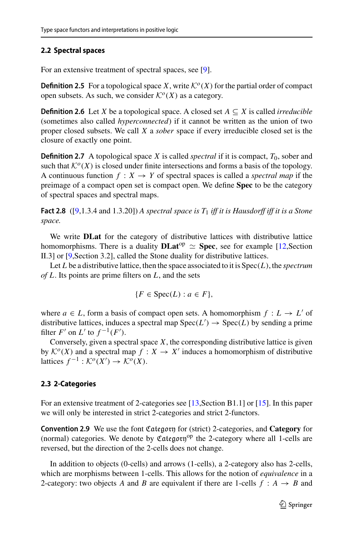# <span id="page-4-0"></span>**2.2 Spectral spaces**

For an extensive treatment of spectral spaces, see [\[9](#page-27-8)].

**Definition 2.5** For a topological space *X*, write  $K^o(X)$  for the partial order of compact open subsets. As such, we consider  $\mathcal{K}^{\circ}(X)$  as a category.

**Definition 2.6** Let *X* be a topological space. A closed set  $A \subseteq X$  is called *irreducible* (sometimes also called *hyperconnected*) if it cannot be written as the union of two proper closed subsets. We call *X* a *sober* space if every irreducible closed set is the closure of exactly one point.

**Definition 2.7** A topological space *X* is called *spectral* if it is compact,  $T_0$ , sober and such that  $\mathcal{K}^o(X)$  is closed under finite intersections and forms a basis of the topology. A continuous function  $f: X \to Y$  of spectral spaces is called a *spectral map* if the preimage of a compact open set is compact open. We define **Spec** to be the category of spectral spaces and spectral maps.

<span id="page-4-2"></span>**Fact 2.8** ([\[9](#page-27-8),1.3.4 and 1.3.20]) *A spectral space is T*<sup>1</sup> *iff it is Hausdorff iff it is a Stone space.*

We write **DLat** for the category of distributive lattices with distributive lattice homomorphisms. There is a duality  $\bf{DLat}^{op} \simeq \bf Spec$ , see for example [\[12,](#page-27-9)Section II.3] or [\[9,](#page-27-8)Section 3.2], called the Stone duality for distributive lattices.

Let *L* be a distributive lattice, then the space associated to it is Spec(*L*), the *spectrum of L*. Its points are prime filters on *L*, and the sets

$$
\{F \in \text{Spec}(L) : a \in F\},\
$$

where  $a \in L$ , form a basis of compact open sets. A homomorphism  $f: L \to L'$  of distributive lattices, induces a spectral map  $Spec(L') \rightarrow Spec(L)$  by sending a prime filter  $F'$  on  $L'$  to  $f^{-1}(F')$ .

Conversely, given a spectral space  $X$ , the corresponding distributive lattice is given by  $K^{o}(X)$  and a spectral map  $f: X \rightarrow X'$  induces a homomorphism of distributive lattices  $f^{-1}: \mathcal{K}^o(X') \to \mathcal{K}^o(X)$ .

#### <span id="page-4-1"></span>**2.3 2-Categories**

For an extensive treatment of 2-categories see [\[13](#page-27-10), Section B1.1] or [\[15\]](#page-27-11). In this paper we will only be interested in strict 2-categories and strict 2-functors.

**Convention 2.9** We use the font Category for (strict) 2-categories, and **Category** for (normal) categories. We denote by  $\mathfrak{Cat}gory^{op}$  the 2-category where all 1-cells are reversed, but the direction of the 2-cells does not change.

In addition to objects (0-cells) and arrows (1-cells), a 2-category also has 2-cells, which are morphisms between 1-cells. This allows for the notion of *equivalence* in a 2-category: two objects *A* and *B* are equivalent if there are 1-cells  $f : A \rightarrow B$  and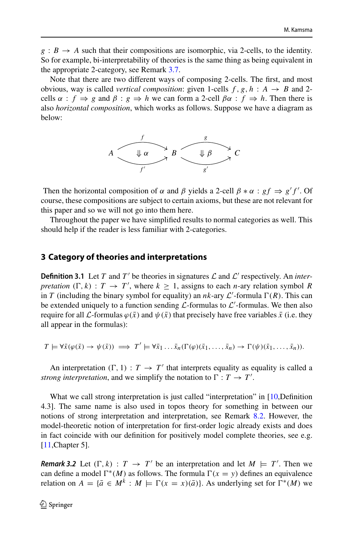$g : B \to A$  such that their compositions are isomorphic, via 2-cells, to the identity. So for example, bi-interpretability of theories is the same thing as being equivalent in the appropriate 2-category, see Remark [3.7.](#page-7-1)

Note that there are two different ways of composing 2-cells. The first, and most obvious, way is called *vertical composition*: given 1-cells  $f$ ,  $g$ ,  $h : A \rightarrow B$  and 2cells  $\alpha : f \Rightarrow g$  and  $\beta : g \Rightarrow h$  we can form a 2-cell  $\beta \alpha : f \Rightarrow h$ . Then there is also *horizontal composition*, which works as follows. Suppose we have a diagram as below:



Then the horizontal composition of  $\alpha$  and  $\beta$  yields a 2-cell  $\beta * \alpha : gf \Rightarrow g'f'$ . Of course, these compositions are subject to certain axioms, but these are not relevant for this paper and so we will not go into them here.

Throughout the paper we have simplified results to normal categories as well. This should help if the reader is less familiar with 2-categories.

#### <span id="page-5-0"></span>**3 Category of theories and interpretations**

<span id="page-5-1"></span>**Definition 3.1** Let *T* and *T'* be theories in signatures  $\mathcal L$  and  $\mathcal L'$  respectively. An *interpretation*  $(\Gamma, k) : T \to T'$ , where  $k \geq 1$ , assigns to each *n*-ary relation symbol *R* in *T* (including the binary symbol for equality) an *nk*-ary  $\mathcal{L}'$ -formula  $\Gamma(R)$ . This can be extended uniquely to a function sending  $\mathcal{L}$ -formulas to  $\mathcal{L}'$ -formulas. We then also require for all *L*-formulas  $\varphi(\bar{x})$  and  $\psi(\bar{x})$  that precisely have free variables  $\bar{x}$  (i.e. they all appear in the formulas):

$$
T \models \forall \bar{x}(\varphi(\bar{x}) \rightarrow \psi(\bar{x})) \implies T' \models \forall \bar{x}_1 \dots \bar{x}_n(\Gamma(\varphi)(\bar{x}_1, \dots, \bar{x}_n) \rightarrow \Gamma(\psi)(\bar{x}_1, \dots, \bar{x}_n)).
$$

An interpretation  $(\Gamma, 1) : T \to T'$  that interprets equality as equality is called a *strong interpretation,* and we simplify the notation to  $\Gamma : T \to T'$ .

What we call strong interpretation is just called "interpretation" in [\[10](#page-27-1),Definition 4.3]. The same name is also used in topos theory for something in between our notions of strong interpretation and interpretation, see Remark [8.2.](#page-25-0) However, the model-theoretic notion of interpretation for first-order logic already exists and does in fact coincide with our definition for positively model complete theories, see e.g. [\[11](#page-27-12), Chapter 5].

<span id="page-5-2"></span>*Remark 3.2* Let  $(\Gamma, k)$  :  $T \rightarrow T'$  be an interpretation and let  $M \models T'$ . Then we can define a model  $\Gamma^*(M)$  as follows. The formula  $\Gamma(x = y)$  defines an equivalence relation on  $A = \{\bar{a} \in M^k : M \models \Gamma(x = x)(\bar{a})\}$ . As underlying set for  $\Gamma^*(M)$  we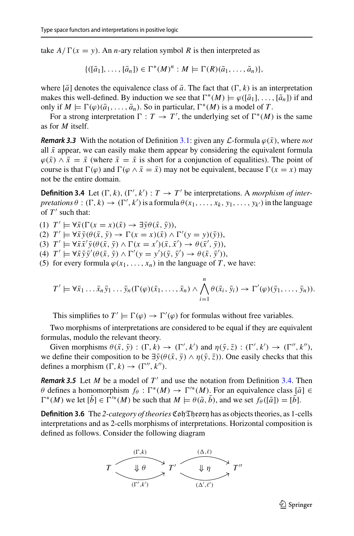take  $A/\Gamma(x = y)$ . An *n*-ary relation symbol *R* is then interpreted as

$$
\{([\bar{a}_1],\ldots, [\bar{a}_n]) \in \Gamma^*(M)^n : M \models \Gamma(R)(\bar{a}_1,\ldots,\bar{a}_n)\},\
$$

where  $[\bar{a}]$  denotes the equivalence class of  $\bar{a}$ . The fact that  $(\Gamma, k)$  is an interpretation makes this well-defined. By induction we see that  $\Gamma^*(M) \models \varphi([\bar{a}_1], \ldots, [\bar{a}_n])$  if and only if  $M \models \Gamma(\varphi)(\bar{a}_1, \ldots, \bar{a}_n)$ . So in particular,  $\Gamma^*(M)$  is a model of *T*.

For a strong interpretation  $\Gamma : T \to T'$ , the underlying set of  $\Gamma^*(M)$  is the same as for *M* itself.

*Remark 3.3* With the notation of Definition [3.1:](#page-5-1) given any  $\mathcal{L}$ -formula  $\varphi(\bar{x})$ , where *not* all  $\bar{x}$  appear, we can easily make them appear by considering the equivalent formula  $\varphi(\bar{x}) \wedge \bar{x} = \bar{x}$  (where  $\bar{x} = \bar{x}$  is short for a conjunction of equalities). The point of course is that  $\Gamma(\varphi)$  and  $\Gamma(\varphi \wedge \bar{x} = \bar{x})$  may not be equivalent, because  $\Gamma(x = x)$  may not be the entire domain.

<span id="page-6-1"></span>**Definition 3.4** Let  $(\Gamma, k)$ ,  $(\Gamma', k') : T \to T'$  be interpretations. A *morphism of inter-* $$ of  $T'$  such that:

(1)  $T' \models \forall \bar{x} (\Gamma(x = x)(\bar{x}) \rightarrow \exists \bar{y} \theta(\bar{x}, \bar{y})),$ 

- $(T') \models \forall \bar{x} \, \bar{y}(\theta(\bar{x}, \bar{y}) \rightarrow \Gamma(x = x)(\bar{x}) \land \Gamma'(y = y)(\bar{y})),$
- $(T \models \forall \bar{x} \bar{x}' \bar{y} (\theta(\bar{x}, \bar{y}) \land \Gamma(x = x') (\bar{x}, \bar{x}') \rightarrow \theta(\bar{x}', \bar{y})),$
- $(T \models \forall \bar{x} \, \bar{y} \, \bar{y}'(\theta(\bar{x}, \bar{y}) \wedge \Gamma'(y = y')(\bar{y}, \bar{y}') \rightarrow \theta(\bar{x}, \bar{y}'))$
- (5) for every formula  $\varphi(x_1, \ldots, x_n)$  in the language of *T*, we have:

$$
T' \models \forall \bar{x}_1 \ldots \bar{x}_n \bar{y}_1 \ldots \bar{y}_n (\Gamma(\varphi)(\bar{x}_1, \ldots, \bar{x}_n) \wedge \bigwedge_{i=1}^n \theta(\bar{x}_i, \bar{y}_i) \rightarrow \Gamma'(\varphi)(\bar{y}_1, \ldots, \bar{y}_n)).
$$

This simplifies to  $T' \models \Gamma(\varphi) \rightarrow \Gamma'(\varphi)$  for formulas without free variables.

Two morphisms of interpretations are considered to be equal if they are equivalent formulas, modulo the relevant theory.

Given morphisms  $\theta(\bar{x}, \bar{y}) : (\Gamma, k) \to (\Gamma', k')$  and  $\eta(\bar{y}, \bar{z}) : (\Gamma', k') \to (\Gamma'', k'')$ , we define their composition to be  $\exists \bar{y}(\theta(\bar{x}, \bar{y}) \wedge \eta(\bar{y}, \bar{z}))$ . One easily checks that this defines a morphism  $(\Gamma, k) \rightarrow (\Gamma'', k'').$ 

<span id="page-6-2"></span>*Remark 3.5* Let *M* be a model of  $T'$  and use the notation from Definition [3.4.](#page-6-1) Then  $\theta$  defines a homomorphism  $f_{\theta} : \Gamma^*(M) \to \Gamma'^*(M)$ . For an equivalence class  $[\bar{a}] \in$  $\Gamma^*(M)$  we let  $[\bar{b}] \in \Gamma'^*(M)$  be such that  $M \models \theta(\bar{a}, \bar{b})$ , and we set  $f_{\theta}([\bar{a}]) = [\bar{b}]$ .

<span id="page-6-0"></span>**Definition 3.6** The *2-category of theories* CohTheory has as objects theories, as 1-cells interpretations and as 2-cells morphisms of interpretations. Horizontal composition is defined as follows. Consider the following diagram

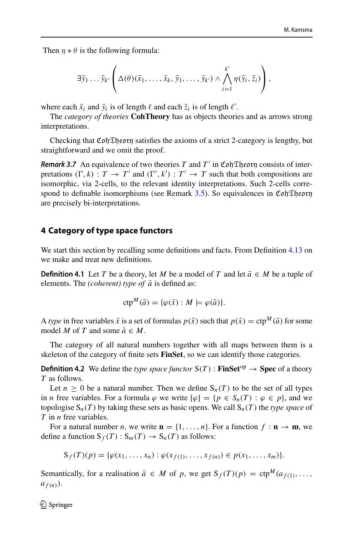Then  $\eta * \theta$  is the following formula:

$$
\exists \bar{y}_1 \ldots \bar{y}_{k'} \left( \Delta(\theta)(\bar{x}_1, \ldots, \bar{x}_k, \bar{y}_1, \ldots, \bar{y}_{k'}) \wedge \bigwedge_{i=1}^{k'} \eta(\bar{y}_i, \bar{z}_i) \right),
$$

where each  $\bar{x}_i$  and  $\bar{y}_i$  is of length  $\ell$  and each  $\bar{z}_i$  is of length  $\ell'$ .

The *category of theories* **CohTheory** has as objects theories and as arrows strong interpretations.

<span id="page-7-1"></span>Checking that  $\mathfrak{C}$  of  $\mathfrak{D}$  from satisfies the axioms of a strict 2-category is lengthy, but straightforward and we omit the proof.

*Remark 3.7* An equivalence of two theories *T* and  $T'$  in Coh Theory consists of interpretations  $(\Gamma, k) : T \to T'$  and  $(\Gamma', k') : T' \to T$  such that both compositions are isomorphic, via 2-cells, to the relevant identity interpretations. Such 2-cells corre-spond to definable isomorphisms (see Remark [3.5\)](#page-6-2). So equivalences in CohTheorn are precisely bi-interpretations.

#### <span id="page-7-0"></span>**4 Category of type space functors**

We start this section by recalling some definitions and facts. From Definition [4.13](#page-10-0) on we make and treat new definitions.

**Definition 4.1** Let *T* be a theory, let *M* be a model of *T* and let  $\bar{a} \in M$  be a tuple of elements. The *(coherent)* type of  $\bar{a}$  is defined as:

$$
ctp^{M}(\bar{a}) = \{ \varphi(\bar{x}) : M \models \varphi(\bar{a}) \}.
$$

A *type* in free variables  $\bar{x}$  is a set of formulas  $p(\bar{x})$  such that  $p(\bar{x}) = \text{ctp}^M(\bar{a})$  for some model *M* of *T* and some  $\bar{a} \in M$ .

<span id="page-7-2"></span>The category of all natural numbers together with all maps between them is a skeleton of the category of finite sets **FinSet**, so we can identify those categories.

**Definition 4.2** We define the *type space functor*  $S(T)$ : **FinSet**<sup>op</sup>  $\rightarrow$  **Spec** of a theory *T* as follows.

Let  $n \geq 0$  be a natural number. Then we define  $S_n(T)$  to be the set of all types in *n* free variables. For a formula  $\varphi$  we write  $[\varphi] = \{p \in S_n(T) : \varphi \in p\}$ , and we topologise  $S_n(T)$  by taking these sets as basic opens. We call  $S_n(T)$  the *type space* of *T* in *n* free variables.

For a natural number *n*, we write  $\mathbf{n} = \{1, \ldots, n\}$ . For a function  $f : \mathbf{n} \to \mathbf{m}$ , we define a function  $S_f(T)$ :  $S_m(T) \rightarrow S_n(T)$  as follows:

$$
S_f(T)(p) = \{ \varphi(x_1, \ldots, x_n) : \varphi(x_{f(1)}, \ldots, x_{f(n)}) \in p(x_1, \ldots, x_m) \}.
$$

Semantically, for a realisation  $\bar{a} \in M$  of p, we get  $S_f(T)(p) = \text{ctp}^M(a_{f(1)}, \ldots,$  $a_{f(n)}$ ).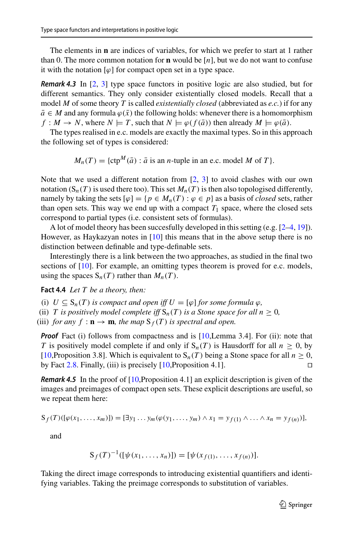The elements in **n** are indices of variables, for which we prefer to start at 1 rather than 0. The more common notation for **n** would be  $[n]$ , but we do not want to confuse it with the notation  $\lbrack \varphi \rbrack$  for compact open set in a type space.

<span id="page-8-0"></span>*Remark 4.3* In [\[2,](#page-27-2) [3\]](#page-27-3) type space functors in positive logic are also studied, but for different semantics. They only consider existentially closed models. Recall that a model *M* of some theory *T* is called *existentially closed* (abbreviated as *e.c.*) if for any  $\bar{a} \in M$  and any formula  $\varphi(\bar{x})$  the following holds: whenever there is a homomorphism  $f: M \to N$ , where  $N \models T$ , such that  $N \models \varphi(f(\bar{a}))$  then already  $M \models \varphi(\bar{a})$ .

The types realised in e.c. models are exactly the maximal types. So in this approach the following set of types is considered:

 $M_n(T) = \{ \text{ctp}^M(\bar{a}) : \bar{a} \text{ is an } n \text{-tuple in an e.c. model } M \text{ of } T \}.$ 

Note that we used a different notation from [\[2](#page-27-2), [3\]](#page-27-3) to avoid clashes with our own notation  $(S_n(T)$  is used there too). This set  $M_n(T)$  is then also topologised differently, namely by taking the sets  $[\varphi] = \{p \in M_n(T) : \varphi \in p\}$  as a basis of *closed* sets, rather than open sets. This way we end up with a compact  $T_1$  space, where the closed sets correspond to partial types (i.e. consistent sets of formulas).

A lot of model theory has been succesfully developed in this setting (e.g. [\[2](#page-27-2)[–4,](#page-27-6) [19\]](#page-27-7)). However, as Haykazyan notes in [\[10\]](#page-27-1) this means that in the above setup there is no distinction between definable and type-definable sets.

Interestingly there is a link between the two approaches, as studied in the final two sections of [\[10\]](#page-27-1). For example, an omitting types theorem is proved for e.c. models, using the spaces  $S_n(T)$  rather than  $M_n(T)$ .

<span id="page-8-1"></span>**Fact 4.4** *Let T be a theory, then:*

(i)  $U \subseteq S_n(T)$  *is compact and open iff*  $U = [\varphi]$  *for some formula*  $\varphi$ *,* 

(ii) *T* is positively model complete iff  $S_n(T)$  is a Stone space for all  $n \geq 0$ ,

(iii) *for any*  $f : \mathbf{n} \to \mathbf{m}$ *, the map*  $S_f(T)$  *is spectral and open.* 

*Proof* Fact (i) follows from compactness and is [\[10,](#page-27-1)Lemma 3.4]. For (ii): note that *T* is positively model complete if and only if  $S_n(T)$  is Hausdorff for all  $n \geq 0$ , by [\[10](#page-27-1),Proposition 3.8]. Which is equivalent to  $S_n(T)$  being a Stone space for all  $n \geq 0$ , by Fact [2.8.](#page-4-2) Finally, (iii) is precisely [\[10,](#page-27-1)Proposition 4.1].

*Remark 4.5* In the proof of [\[10,](#page-27-1)Proposition 4.1] an explicit description is given of the images and preimages of compact open sets. These explicit descriptions are useful, so we repeat them here:

$$
S_f(T)(\left[\varphi(x_1,\ldots,x_m)\right]) = [\exists y_1\ldots y_m(\varphi(y_1,\ldots,y_m)\wedge x_1 = y_{f(1)}\wedge\ldots\wedge x_n = y_{f(n)})],
$$

and

$$
S_f(T)^{-1}([\psi(x_1,\ldots,x_n)]) = [\psi(x_{f(1)},\ldots,x_{f(n)})].
$$

Taking the direct image corresponds to introducing existential quantifiers and identifying variables. Taking the preimage corresponds to substitution of variables.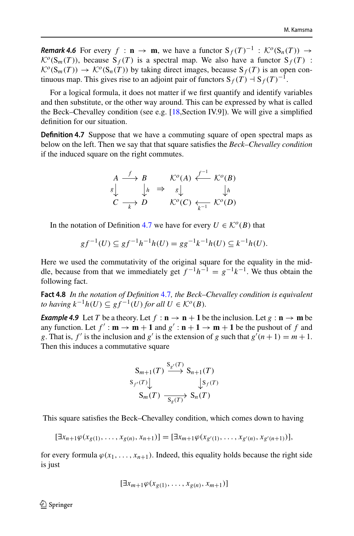*Remark 4.6* For every  $f : \mathbf{n} \to \mathbf{m}$ , we have a functor  $S_f(T)^{-1} : \mathcal{K}^o(S_n(T)) \to$  $\mathcal{K}^{\circ}(\mathbf{S}_m(T))$ , because  $\mathbf{S}_f(T)$  is a spectral map. We also have a functor  $\mathbf{S}_f(T)$  :  $\mathcal{K}^o(S_m(T)) \to \mathcal{K}^o(S_n(T))$  by taking direct images, because  $S_f(T)$  is an open continuous map. This gives rise to an adjoint pair of functors  $S_f(T) \rightharpoonup S_f(T)^{-1}$ .

For a logical formula, it does not matter if we first quantify and identify variables and then substitute, or the other way around. This can be expressed by what is called the Beck–Chevalley condition (see e.g. [\[18](#page-27-13),Section IV.9]). We will give a simplified definition for our situation.

<span id="page-9-0"></span>**Definition 4.7** Suppose that we have a commuting square of open spectral maps as below on the left. Then we say that that square satisfies the *Beck–Chevalley condition* if the induced square on the right commutes.

$$
\begin{array}{ccc}\nA & \xrightarrow{f} & B & \mathcal{K}^o(A) & \xleftarrow{f^{-1}} \mathcal{K}^o(B) \\
\downarrow s & \downarrow h & \Rightarrow & s & \downarrow h \\
C & \xrightarrow{k} & D & \mathcal{K}^o(C) & \xleftarrow{k-1} \mathcal{K}^o(D)\n\end{array}
$$

In the notation of Definition [4.7](#page-9-0) we have for every  $U \in \mathcal{K}^{\circ}(B)$  that

$$
gf^{-1}(U) \subseteq gf^{-1}h^{-1}h(U) = gg^{-1}k^{-1}h(U) \subseteq k^{-1}h(U).
$$

Here we used the commutativity of the original square for the equality in the middle, because from that we immediately get  $f^{-1}h^{-1} = g^{-1}k^{-1}$ . We thus obtain the following fact.

<span id="page-9-2"></span>**Fact 4.8** *In the notation of Definition* [4.7](#page-9-0)*, the Beck–Chevalley condition is equivalent to having*  $k^{-1}h(U) \subseteq gf^{-1}(U)$  *for all*  $U \in \mathcal{K}^o(B)$ *.* 

<span id="page-9-1"></span>*Example 4.9* Let *T* be a theory. Let  $f : \mathbf{n} \to \mathbf{n} + 1$  be the inclusion. Let  $g : \mathbf{n} \to \mathbf{m}$  be any function. Let  $f' : \mathbf{m} \to \mathbf{m} + 1$  and  $g' : \mathbf{n} + 1 \to \mathbf{m} + 1$  be the pushout of f and *g*. That is,  $f'$  is the inclusion and  $g'$  is the extension of *g* such that  $g'(n+1) = m+1$ . Then this induces a commutative square

$$
S_{m+1}(T) \xrightarrow{S_{g'}(T)} S_{n+1}(T)
$$
  
\n
$$
S_{f'}(T) \downarrow \qquad S_{n}(T)
$$
  
\n
$$
S_{m}(T) \xrightarrow[S_{g}(T)} S_{n}(T)
$$

This square satisfies the Beck–Chevalley condition, which comes down to having

$$
[\exists x_{n+1}\varphi(x_{g(1)},\ldots,x_{g(n)},x_{n+1})]=[\exists x_{m+1}\varphi(x_{g'(1)},\ldots,x_{g'(n)},x_{g'(n+1)})],
$$

for every formula  $\varphi(x_1,\ldots,x_{n+1})$ . Indeed, this equality holds because the right side is just

$$
[\exists x_{m+1}\varphi(x_{g(1)},\ldots,x_{g(n)},x_{m+1})]
$$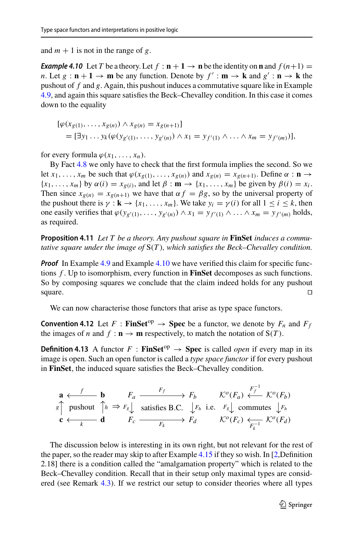<span id="page-10-1"></span>and  $m + 1$  is not in the range of g.

*Example 4.10* Let *T* be a theory. Let  $f : \mathbf{n} + 1 \to \mathbf{n}$  be the identity on **n** and  $f(n+1) =$ *n*. Let  $g : \mathbf{n} + \mathbf{1} \to \mathbf{m}$  be any function. Denote by  $f' : \mathbf{m} \to \mathbf{k}$  and  $g' : \mathbf{n} \to \mathbf{k}$  the pushout of *f* and *g*. Again, this pushout induces a commutative square like in Example [4.9,](#page-9-1) and again this square satisfies the Beck–Chevalley condition. In this case it comes down to the equality

$$
[\varphi(x_{g(1)},...,x_{g(n)}) \wedge x_{g(n)} = x_{g(n+1)}] = [\exists y_1 ... y_k (\varphi(y_{g'(1)},...,y_{g'(n)}) \wedge x_1 = y_{f'(1)} \wedge ... \wedge x_m = y_{f'(m)})],
$$

for every formula  $\varphi(x_1, \ldots, x_n)$ .

By Fact [4.8](#page-9-2) we only have to check that the first formula implies the second. So we let  $x_1, \ldots, x_m$  be such that  $\varphi(x_{g(1)}, \ldots, x_{g(n)})$  and  $x_{g(n)} = x_{g(n+1)}$ . Define  $\alpha : \mathbf{n} \to$  ${x_1, \ldots, x_m}$  by  $\alpha(i) = x_{g(i)}$ , and let  $\beta : \mathbf{m} \to \{x_1, \ldots, x_m\}$  be given by  $\beta(i) = x_i$ . Then since  $x_{g(n)} = x_{g(n+1)}$  we have that  $\alpha f = \beta g$ , so by the universal property of the pushout there is  $\gamma : \mathbf{k} \to \{x_1, \ldots, x_m\}$ . We take  $y_i = \gamma(i)$  for all  $1 \le i \le k$ , then one easily verifies that  $\varphi(y_{g'(1)},..., y_{g'(n)}) \wedge x_1 = y_{f'(1)} \wedge ... \wedge x_m = y_{f'(m)}$  holds, as required.

<span id="page-10-2"></span>**Proposition 4.11** *Let T be a theory. Any pushout square in* **FinSet** *induces a commutative square under the image of* S(*T* )*, which satisfies the Beck–Chevalley condition.*

*Proof* In Example [4.9](#page-9-1) and Example [4.10](#page-10-1) we have verified this claim for specific functions *f* . Up to isomorphism, every function in **FinSet** decomposes as such functions. So by composing squares we conclude that the claim indeed holds for any pushout square.  $\Box$ 

We can now characterise those functors that arise as type space functors.

**Convention 4.12** Let  $F : \textbf{FinSet}^{\text{op}} \to \textbf{Spec}$  be a functor, we denote by  $F_n$  and  $F_f$ the images of *n* and  $f : \mathbf{n} \to \mathbf{m}$  respectively, to match the notation of  $S(T)$ .

<span id="page-10-0"></span>**Definition 4.13** A functor  $F : \textbf{FinSet}^{\text{op}} \to \textbf{Spec}$  is called *open* if every map in its image is open. Such an open functor is called a *type space functor* if for every pushout in **FinSet**, the induced square satisfies the Beck–Chevalley condition.

$$
\begin{array}{cccc}\n\mathbf{a} & \xleftarrow{f} & \mathbf{b} & F_a \xrightarrow{F_f} & F_b & \mathcal{K}^o(F_a) & \xleftarrow{F_f^{-1}} \mathcal{K}^o(F_b) \\
\text{s}\uparrow \text{pushout} & \uparrow_h \Rightarrow F_s \downarrow \text{ satisfies B.C.} & \downarrow F_h \text{ i.e. } F_s \downarrow \text{ commutes } \downarrow F_h \\
\mathbf{c} & \xleftarrow{k} & \mathbf{d} & F_c \xrightarrow{F_k} & F_d & \mathcal{K}^o(F_c) & \xleftarrow{F_k^{-1}} \mathcal{K}^o(F_d)\n\end{array}
$$

The discussion below is interesting in its own right, but not relevant for the rest of the paper, so the reader may skip to after Example [4.15](#page-12-0) if they so wish. In [\[2](#page-27-2),Definition 2.18] there is a condition called the "amalgamation property" which is related to the Beck–Chevalley condition. Recall that in their setup only maximal types are considered (see Remark [4.3\)](#page-8-0). If we restrict our setup to consider theories where all types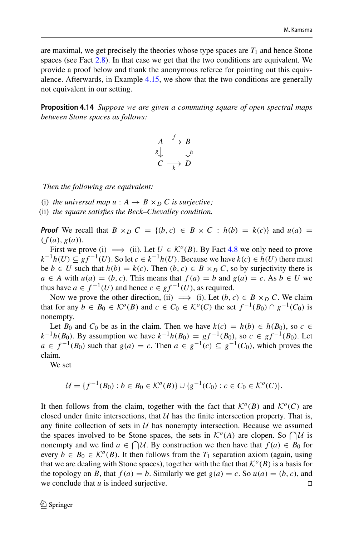are maximal, we get precisely the theories whose type spaces are  $T_1$  and hence Stone spaces (see Fact [2.8\)](#page-4-2). In that case we get that the two conditions are equivalent. We provide a proof below and thank the anonymous referee for pointing out this equivalence. Afterwards, in Example [4.15,](#page-12-0) we show that the two conditions are generally not equivalent in our setting.

<span id="page-11-0"></span>**Proposition 4.14** *Suppose we are given a commuting square of open spectral maps between Stone spaces as follows:*

$$
A \xrightarrow{f} B
$$
  

$$
g \downarrow \qquad \qquad \downarrow h
$$
  

$$
C \xrightarrow{k} D
$$

*Then the following are equivalent:*

(i) the universal map  $u : A \rightarrow B \times_D C$  is surjective;

(ii) *the square satisfies the Beck–Chevalley condition.*

*Proof* We recall that  $B \times_D C = \{(b, c) \in B \times C : h(b) = k(c)\}\$ and  $u(a) =$  $(f(a), g(a))$ .

First we prove (i)  $\implies$  (ii). Let  $U \in \mathcal{K}^{\circ}(B)$ . By Fact [4.8](#page-9-2) we only need to prove *k*<sup>−1</sup>*h*(*U*) ⊆ *gf*<sup>−1</sup>(*U*). So let *c* ∈ *k*<sup>−1</sup>*h*(*U*). Because we have *k*(*c*) ∈ *h*(*U*) there must be *b* ∈ *U* such that  $h(b) = k(c)$ . Then  $(b, c) \in B \times_D C$ , so by surjectivity there is *a* ∈ *A* with *u*(*a*) = (*b*, *c*). This means that  $f(a) = b$  and  $g(a) = c$ . As  $b ∈ U$  we thus have  $a \in f^{-1}(U)$  and hence  $c \in gf^{-1}(U)$ , as required.

Now we prove the other direction, (ii)  $\implies$  (i). Let  $(b, c) \in B \times_D C$ . We claim that for any  $b \in B_0 \in \mathcal{K}^o(B)$  and  $c \in C_0 \in \mathcal{K}^o(C)$  the set  $f^{-1}(B_0) \cap g^{-1}(C_0)$  is nonempty.

Let  $B_0$  and  $C_0$  be as in the claim. Then we have  $k(c) = h(b) \in h(B_0)$ , so  $c \in$ *k*<sup>−1</sup>*h*(*B*<sub>0</sub>). By assumption we have  $k^{-1}h(B_0) = gf^{-1}(B_0)$ , so  $c ∈ gf^{-1}(B_0)$ . Let *a* ∈  $f^{-1}(B_0)$  such that  $g(a) = c$ . Then  $a \in g^{-1}(c) \subseteq g^{-1}(C_0)$ , which proves the claim.

We set

$$
\mathcal{U} = \{ f^{-1}(B_0) : b \in B_0 \in \mathcal{K}^o(B) \} \cup \{ g^{-1}(C_0) : c \in C_0 \in \mathcal{K}^o(C) \}.
$$

It then follows from the claim, together with the fact that  $K^o(B)$  and  $K^o(C)$  are closed under finite intersections, that  $U$  has the finite intersection property. That is, any finite collection of sets in  $U$  has nonempty intersection. Because we assumed the spaces involved to be Stone spaces, the sets in  $\mathcal{K}^{\circ}(A)$  are clopen. So  $\bigcap \mathcal{U}$  is nonempty and we find  $a \in \bigcap \mathcal{U}$ . By construction we then have that  $f(a) \in B_0$  for every  $b \in B_0 \in \mathcal{K}^o(B)$ . It then follows from the  $T_1$  separation axiom (again, using that we are dealing with Stone spaces), together with the fact that  $\mathcal{K}^{\circ}(B)$  is a basis for the topology on *B*, that  $f(a) = b$ . Similarly we get  $g(a) = c$ . So  $u(a) = (b, c)$ , and we conclude that  $u$  is indeed surjective.  $\Box$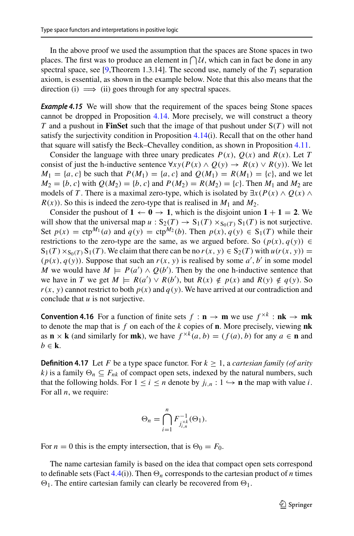In the above proof we used the assumption that the spaces are Stone spaces in two places. The first was to produce an element in  $\bigcap \mathcal{U}$ , which can in fact be done in any spectral space, see [\[9](#page-27-8),Theorem 1.3.14]. The second use, namely of the  $T_1$  separation axiom, is essential, as shown in the example below. Note that this also means that the direction (i)  $\implies$  (ii) goes through for any spectral spaces.

<span id="page-12-0"></span>**Example 4.15** We will show that the requirement of the spaces being Stone spaces cannot be dropped in Proposition [4.14.](#page-11-0) More precisely, we will construct a theory *T* and a pushout in **FinSet** such that the image of that pushout under S(*T* ) will not satisfy the surjectivity condition in Proposition [4.14\(](#page-11-0)i). Recall that on the other hand that square will satisfy the Beck–Chevalley condition, as shown in Proposition [4.11.](#page-10-2)

Consider the language with three unary predicates  $P(x)$ ,  $Q(x)$  and  $R(x)$ . Let *T* consist of just the h-inductive sentence  $\forall xy(P(x) \land Q(y) \rightarrow R(x) \lor R(y))$ . We let  $M_1 = \{a, c\}$  be such that  $P(M_1) = \{a, c\}$  and  $Q(M_1) = R(M_1) = \{c\}$ , and we let  $M_2 = \{b, c\}$  with  $Q(M_2) = \{b, c\}$  and  $P(M_2) = R(M_2) = \{c\}$ . Then  $M_1$  and  $M_2$  are models of *T*. There is a maximal zero-type, which is isolated by  $\exists x (P(x) \land Q(x) \land P(x))$  $R(x)$ ). So this is indeed the zero-type that is realised in  $M_1$  and  $M_2$ .

Consider the pushout of  $1 \leftarrow 0 \rightarrow 1$ , which is the disjoint union  $1 + 1 = 2$ . We will show that the universal map  $u : S_2(T) \to S_1(T) \times_{S_0(T)} S_1(T)$  is not surjective. Set  $p(x) = \text{ctp}^{M_1}(a)$  and  $q(y) = \text{ctp}^{M_2}(b)$ . Then  $p(x), q(y) \in S_1(T)$  while their restrictions to the zero-type are the same, as we argued before. So  $(p(x), q(y)) \in$  $S_1(T) \times_{S_0(T)} S_1(T)$ . We claim that there can be no  $r(x, y) \in S_2(T)$  with  $u(r(x, y)) =$  $(p(x), q(y))$ . Suppose that such an  $r(x, y)$  is realised by some  $a', b'$  in some model *M* we would have  $M \models P(a') \land Q(b')$ . Then by the one h-inductive sentence that we have in *T* we get  $M \models R(a') \lor R(b')$ , but  $R(x) \notin p(x)$  and  $R(y) \notin q(y)$ . So  $r(x, y)$  cannot restrict to both  $p(x)$  and  $q(y)$ . We have arrived at our contradiction and conclude that *u* is not surjective.

**Convention 4.16** For a function of finite sets  $f : \mathbf{n} \to \mathbf{m}$  we use  $f^{\times k} : \mathbf{n}\mathbf{k} \to \mathbf{m}\mathbf{k}$ to denote the map that is *f* on each of the *k* copies of **n**. More precisely, viewing **nk** as **n** × **k** (and similarly for **mk**), we have  $f^{\times k}(a, b) = (f(a), b)$  for any  $a \in \mathbf{n}$  and  $b \in \mathbf{k}$ .

**Definition 4.17** Let *F* be a type space functor. For  $k \ge 1$ , a *cartesian family (of arity k*) is a family  $\Theta_n$  ⊆  $F_{nk}$  of compact open sets, indexed by the natural numbers, such that the following holds. For  $1 \le i \le n$  denote by  $j_{i,n} : 1 \hookrightarrow \mathbf{n}$  the map with value *i*. For all *n*, we require:

$$
\Theta_n = \bigcap_{i=1}^n F_{j_{i,n}^{\times k}}^{-1}(\Theta_1).
$$

For  $n = 0$  this is the empty intersection, that is  $\Theta_0 = F_0$ .

<span id="page-12-1"></span>The name cartesian family is based on the idea that compact open sets correspond to definable sets (Fact  $4.4(i)$  $4.4(i)$ ). Then  $\Theta_n$  corresponds to the cartesian product of *n* times  $\Theta_1$ . The entire cartesian family can clearly be recovered from  $\Theta_1$ .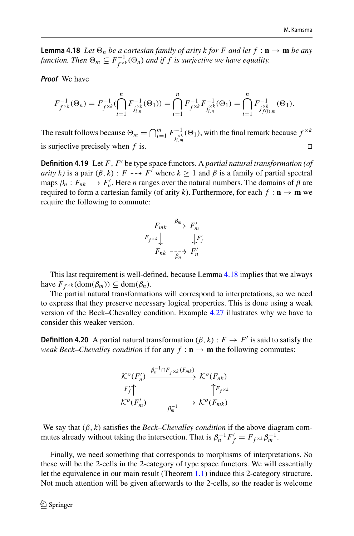**Lemma 4.18** *Let*  $\Theta_n$  *be a cartesian family of arity k for* F *and let*  $f : \mathbf{n} \to \mathbf{m}$  *be any* function. Then  $\Theta_m \subseteq F^{-1}_{f^{\times k}}(\Theta_n)$  and if f is surjective we have equality.

*Proof* We have

$$
F_{f^{\times k}}^{-1}(\Theta_n) = F_{f^{\times k}}^{-1}(\bigcap_{i=1}^n F_{j_{i,n}^{\times k}}^{-1}(\Theta_1)) = \bigcap_{i=1}^n F_{f^{\times k}}^{-1}F_{j_{i,n}^{\times k}}^{-1}(\Theta_1) = \bigcap_{i=1}^n F_{j_{f(i),m}^{\times k}}^{-1}(\Theta_1).
$$

The result follows because  $\Theta_m = \bigcap_{i=1}^m F_{j_{i,m}^{>k}}^{-1}(\Theta_1)$ , with the final remark because  $f^{\times k}$ is surjective precisely when *f* is.

<span id="page-13-0"></span>**Definition 4.19** Let *F*, *F'* be type space functors. A *partial natural transformation* (*of arity k)* is a pair  $(\beta, k)$ : *F*  $-\rightarrow$  *F'* where  $k \ge 1$  and  $\beta$  is a family of partial spectral maps  $\beta_n$ :  $F_{nk}$   $\longrightarrow$   $F'_n$ . Here *n* ranges over the natural numbers. The domains of  $\beta$  are required to form a cartesian family (of arity k). Furthermore, for each  $f : \mathbf{n} \to \mathbf{m}$  we require the following to commute:

$$
F_{mk} \xrightarrow{\beta_m} F'_m
$$
  

$$
F_{f \times k} \downarrow \qquad \qquad \downarrow F'_f
$$
  

$$
F_{nk} \xrightarrow{-}_{\beta_n} F'_n
$$

This last requirement is well-defined, because Lemma [4.18](#page-12-1) implies that we always have  $F_{f \times k}$  (dom $(\beta_m)$ )  $\subseteq$  dom $(\beta_n)$ .

The partial natural transformations will correspond to interpretations, so we need to express that they preserve necessary logical properties. This is done using a weak version of the Beck–Chevalley condition. Example [4.27](#page-15-2) illustrates why we have to consider this weaker version.

**Definition 4.20** A partial natural transformation  $(\beta, k) : F \to F'$  is said to satisfy the *weak Beck–Chevalley condition* if for any  $f : \mathbf{n} \to \mathbf{m}$  the following commutes:

$$
\begin{array}{ccc}\n{\mathcal{K}}^{o}(F'_{n}) & \xrightarrow{\beta_{n}^{-1} \cap F_{f} \times k(F_{mk})} & {\mathcal{K}}^{o}(F_{nk}) \\
F'_{f} \uparrow & & \uparrow F_{f} \times k \\
{\mathcal{K}}^{o}(F'_{m}) & \xrightarrow{\beta_{m}^{-1}} & {\mathcal{K}}^{o}(F_{mk})\n\end{array}
$$

We say that  $(\beta, k)$  satisfies the *Beck–Chevalley condition* if the above diagram commutes already without taking the intersection. That is  $\beta_n^{-1} F'_f = F_{f^{\times k}} \beta_m^{-1}$ .

Finally, we need something that corresponds to morphisms of interpretations. So these will be the 2-cells in the 2-category of type space functors. We will essentially let the equivalence in our main result (Theorem [1.1\)](#page-2-0) induce this 2-category structure. Not much attention will be given afterwards to the 2-cells, so the reader is welcome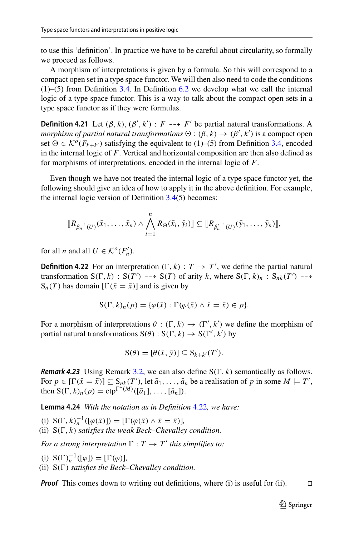to use this 'definition'. In practice we have to be careful about circularity, so formally we proceed as follows.

A morphism of interpretations is given by a formula. So this will correspond to a compact open set in a type space functor. We will then also need to code the conditions (1)–(5) from Definition [3.4.](#page-6-1) In Definition [6.2](#page-18-2) we develop what we call the internal logic of a type space functor. This is a way to talk about the compact open sets in a type space functor as if they were formulas.

<span id="page-14-2"></span>**Definition 4.21** Let  $(\beta, k)$ ,  $(\beta', k')$  :  $F \dashrightarrow F'$  be partial natural transformations. A *morphism of partial natural transformations*  $\Theta : (\beta, k) \to (\beta', k')$  is a compact open set  $\Theta \in \mathcal{K}^{\circ}(F_{k+k'})$  satisfying the equivalent to (1)–(5) from Definition [3.4,](#page-6-1) encoded in the internal logic of *F*. Vertical and horizontal composition are then also defined as for morphisms of interpretations, encoded in the internal logic of *F*.

Even though we have not treated the internal logic of a type space functor yet, the following should give an idea of how to apply it in the above definition. For example, the internal logic version of Definition  $3.4(5)$  $3.4(5)$  becomes:

$$
[\![R_{\beta_n^{-1}(U)}(\bar{x}_1,\ldots,\bar{x}_n)\wedge \bigwedge_{i=1}^n R_{\Theta}(\bar{x}_i,\bar{y}_i)]\!] \subseteq [\![R_{\beta_n'^{-1}(U)}(\bar{y}_1,\ldots,\bar{y}_n)]\!],
$$

<span id="page-14-0"></span>for all *n* and all  $U \in \mathcal{K}^o(F'_n)$ .

**Definition 4.22** For an interpretation  $(\Gamma, k) : T \to T'$ , we define the partial natural transformation  $S(\Gamma, k)$  :  $S(T') \dashrightarrow S(T)$  of arity *k*, where  $S(\Gamma, k)_n$  :  $S_{nk}(T') \dashrightarrow$  $S_n(T)$  has domain  $[\Gamma(\bar{x} = \bar{x})]$  and is given by

$$
S(\Gamma, k)_n(p) = \{ \varphi(\bar{x}) : \Gamma(\varphi(\bar{x}) \wedge \bar{x} = \bar{x}) \in p \}.
$$

For a morphism of interpretations  $\theta : (\Gamma, k) \to (\Gamma', k')$  we define the morphism of partial natural transformations  $S(\theta) : S(\Gamma, k) \to S(\Gamma', k')$  by

$$
S(\theta) = [\theta(\bar{x}, \bar{y})] \subseteq S_{k+k'}(T').
$$

*Remark 4.23* Using Remark [3.2,](#page-5-2) we can also define  $S(\Gamma, k)$  semantically as follows. For  $p \in [\Gamma(\bar{x} = \bar{x})] \subseteq S_{nk}(T')$ , let  $\bar{a}_1, \ldots, \bar{a}_n$  be a realisation of p in some  $M \models T'$ , then  $S(\Gamma, k)_n(p) = \text{ctp}^{\Gamma^*(M)}([\bar{a}_1], \ldots, [\bar{a}_n]).$ 

<span id="page-14-1"></span>**Lemma 4.24** *With the notation as in Definition* [4.22](#page-14-0)*, we have:*

(i)  $S(\Gamma, k)_n^{-1}([\varphi(\bar{x})]) = [\Gamma(\varphi(\bar{x}) \wedge \bar{x} = \bar{x})],$ 

(ii)  $S(\Gamma, k)$  *satisfies the weak Beck–Chevalley condition.* 

*For a strong interpretation*  $\Gamma : T \rightarrow T'$  *this simplifies to:* 

(i)  $S(\Gamma)^{-1}_n([\varphi]) = [\Gamma(\varphi)],$ (ii)  $S(\Gamma)$  *satisfies the Beck–Chevalley condition.* 

*Proof* This comes down to writing out definitions, where (i) is useful for (ii).  $\Box$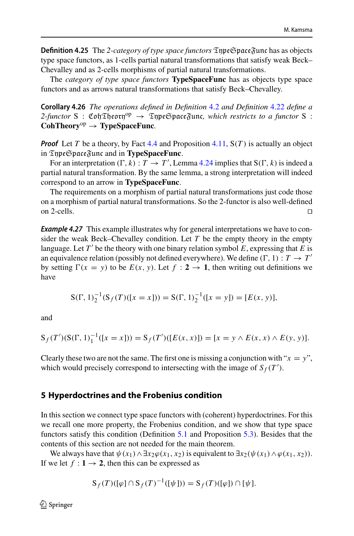<span id="page-15-1"></span>**Definition 4.25** The 2-category of type space functors  $\mathfrak{TypeSpace}$  func has as objects type space functors, as 1-cells partial natural transformations that satisfy weak Beck– Chevalley and as 2-cells morphisms of partial natural transformations.

The *category of type space functors* **TypeSpaceFunc** has as objects type space functors and as arrows natural transformations that satisfy Beck–Chevalley.

**Corollary 4.26** *The operations defined in Definition* [4.2](#page-7-2) *and Definition* [4.22](#page-14-0) *define a*  $2$ -functor S : Coh $\mathfrak{Theorem}^{\mathrm{op}} \to \mathfrak{InpeGpace}$ func, which restricts to a functor S : **CohTheory**op <sup>→</sup> **TypeSpaceFunc***.*

*Proof* Let *T* be a theory, by Fact [4.4](#page-8-1) and Proposition [4.11,](#page-10-2)  $S(T)$  is actually an object in TypeSpaceFunc and in **TypeSpaceFunc**.

For an interpretation  $(\Gamma, k) : T \to T'$ , Lemma [4.24](#page-14-1) implies that  $S(\Gamma, k)$  is indeed a partial natural transformation. By the same lemma, a strong interpretation will indeed correspond to an arrow in **TypeSpaceFunc**.

The requirements on a morphism of partial natural transformations just code those on a morphism of partial natural transformations. So the 2-functor is also well-defined on 2-cells.  $\Box$ 

<span id="page-15-2"></span>*Example 4.27* This example illustrates why for general interpretations we have to consider the weak Beck–Chevalley condition. Let *T* be the empty theory in the empty language. Let  $T'$  be the theory with one binary relation symbol  $E$ , expressing that  $E$  is an equivalence relation (possibly not defined everywhere). We define  $(\Gamma, 1) : T \to T'$ by setting  $\Gamma(x = y)$  to be  $E(x, y)$ . Let  $f : 2 \rightarrow 1$ , then writing out definitions we have

$$
S(\Gamma, 1)_2^{-1}(S_f(T)([x = x])) = S(\Gamma, 1)_2^{-1}([x = y]) = [E(x, y)],
$$

and

$$
S_f(T')(S(\Gamma, 1)_1^{-1}([x = x])) = S_f(T')([E(x, x)]) = [x = y \wedge E(x, x) \wedge E(y, y)].
$$

Clearly these two are not the same. The first one is missing a conjunction with " $x = y$ ", which would precisely correspond to intersecting with the image of  $S_f(T')$ .

#### <span id="page-15-0"></span>**5 Hyperdoctrines and the Frobenius condition**

In this section we connect type space functors with (coherent) hyperdoctrines. For this we recall one more property, the Frobenius condition, and we show that type space functors satisfy this condition (Definition [5.1](#page-16-1) and Proposition [5.3\)](#page-16-0). Besides that the contents of this section are not needed for the main theorem.

We always have that  $\psi(x_1) \wedge \exists x_2 \varphi(x_1, x_2)$  is equivalent to  $\exists x_2(\psi(x_1) \wedge \varphi(x_1, x_2))$ . If we let  $f : \mathbf{1} \to \mathbf{2}$ , then this can be expressed as

$$
S_f(T)([\varphi] \cap S_f(T)^{-1}([\psi])) = S_f(T)([\varphi]) \cap [\psi].
$$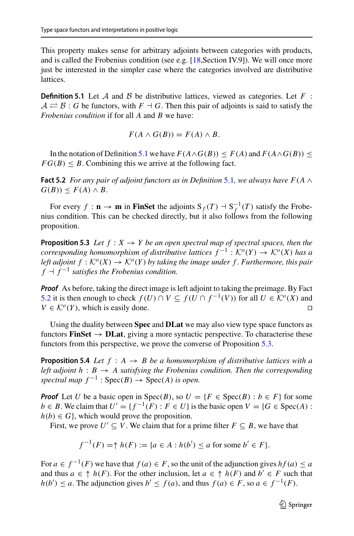This property makes sense for arbitrary adjoints between categories with products, and is called the Frobenius condition (see e.g. [\[18](#page-27-13),Section IV.9]). We will once more just be interested in the simpler case where the categories involved are distributive lattices.

<span id="page-16-1"></span>**Definition 5.1** Let *A* and *B* be distributive lattices, viewed as categories. Let *F* :  $A \rightleftarrows B$ : *G* be functors, with  $F \dashv G$ . Then this pair of adjoints is said to satisfy the *Frobenius condition* if for all *A* and *B* we have:

$$
F(A \wedge G(B)) = F(A) \wedge B.
$$

<span id="page-16-2"></span>In the notation of Definition [5.1](#page-16-1) we have  $F(A \wedge G(B)) \leq F(A)$  and  $F(A \wedge G(B)) \leq$  $FG(B) < B$ . Combining this we arrive at the following fact.

**Fact 5.2** *For any pair of adjoint functors as in Definition* [5.1](#page-16-1), we always have  $F(A \wedge B)$  $G(B)$ )  $\leq F(A) \wedge B$ .

For every  $f : \mathbf{n} \to \mathbf{m}$  in **FinSet** the adjoints  $S_f(T) \to S_f^{-1}(T)$  satisfy the Frobenius condition. This can be checked directly, but it also follows from the following proposition.

<span id="page-16-0"></span>**Proposition 5.3** *Let*  $f : X \rightarrow Y$  *be an open spectral map of spectral spaces, then the corresponding homomorphism of distributive lattices*  $f^{-1}: \mathcal{K}^o(Y) \to \mathcal{K}^o(X)$  has a *left adjoint*  $f : \mathcal{K}^o(X) \to \mathcal{K}^o(Y)$  *by taking the image under f. Furthermore, this pair*  $f \dashv f^{-1}$  *satisfies the Frobenius condition.* 

*Proof* As before, taking the direct image is left adjoint to taking the preimage. By Fact [5.2](#page-16-2) it is then enough to check *f* (*U*) ∩ *V* ⊆ *f* (*U* ∩ *f*<sup>-1</sup>(*V*)) for all *U* ∈  $K^o(X)$  and *V* ∈  $K^o(Y)$ , which is easily done.  $V \in \mathcal{K}^{\circ}(Y)$ , which is easily done.

Using the duality between **Spec** and **DLat** we may also view type space functors as functors **FinSet**  $\rightarrow$  **DLat**, giving a more syntactic perspective. To characterise these functors from this perspective, we prove the converse of Proposition [5.3.](#page-16-0)

**Proposition 5.4** *Let*  $f : A \rightarrow B$  *be a homomorphism of distributive lattices with a left adjoint*  $h : B \rightarrow A$  *satisfying the Frobenius condition. Then the corresponding spectral map*  $f^{-1}$  :  $Spec(B) \rightarrow Spec(A)$  *is open.* 

*Proof* Let *U* be a basic open in  $Spec(B)$ , so  $U = \{F \in Spec(B) : b \in F\}$  for some  $b \in B$ . We claim that  $U' = \{f^{-1}(F) : F \in U\}$  is the basic open  $V = \{G \in \text{Spec}(A) :$  $h(b) \in G$ , which would prove the proposition.

First, we prove  $U' \subset V$ . We claim that for a prime filter  $F \subset B$ , we have that

$$
f^{-1}(F) = \uparrow h(F) := \{a \in A : h(b') \le a \text{ for some } b' \in F\}.
$$

For  $a \in f^{-1}(F)$  we have that  $f(a) \in F$ , so the unit of the adjunction gives  $hf(a) \le a$ and thus  $a \in \uparrow h(F)$ . For the other inclusion, let  $a \in \uparrow h(F)$  and  $b' \in F$  such that *h*(*b*<sup> $′$ </sup>) ≤ *a*. The adjunction gives *b*<sup> $′$ </sup> ≤ *f*(*a*), and thus *f*(*a*) ∈ *F*, so *a* ∈ *f*<sup> $−1$ </sup>(*F*).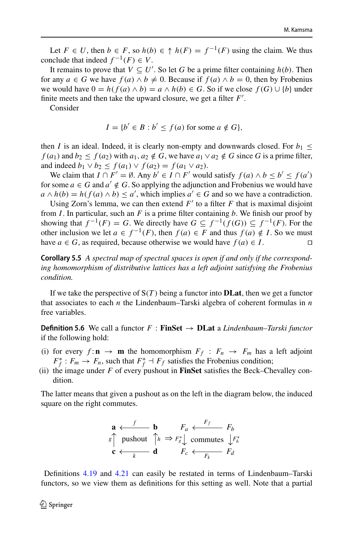Let  $F \in U$ , then  $b \in F$ , so  $h(b) \in \hat{h}(F) = f^{-1}(F)$  using the claim. We thus conclude that indeed  $f^{-1}(F) \in V$ .

It remains to prove that  $V \subseteq U'$ . So let *G* be a prime filter containing *h*(*b*). Then for any  $a \in G$  we have  $f(a) \wedge b \neq 0$ . Because if  $f(a) \wedge b = 0$ , then by Frobenius we would have  $0 = h(f(a) \wedge b) = a \wedge h(b) \in G$ . So if we close  $f(G) \cup \{b\}$  under finite meets and then take the upward closure, we get a filter *F* .

Consider

$$
I = \{b' \in B : b' \le f(a) \text{ for some } a \notin G\},\
$$

then *I* is an ideal. Indeed, it is clearly non-empty and downwards closed. For  $b_1 \le$ *f* (*a*<sub>1</sub>) and *b*<sub>2</sub> ≤ *f* (*a*<sub>2</sub>) with *a*<sub>1</sub>, *a*<sub>2</sub> ∉ *G*, we have *a*<sub>1</sub> ∨ *a*<sub>2</sub> ∉ *G* since *G* is a prime filter, and indeed  $b_1 \vee b_2 \leq f(a_1) \vee f(a_2) = f(a_1 \vee a_2)$ .

We claim that  $I \cap F' = \emptyset$ . Any  $b' \in I \cap F'$  would satisfy  $f(a) \wedge b \leq b' \leq f(a')$ for some  $a \in G$  and  $a' \notin G$ . So applying the adjunction and Frobenius we would have  $a \wedge h(b) = h(f(a) \wedge b) \le a'$ , which implies  $a' \in G$  and so we have a contradiction.

Using Zorn's lemma, we can then extend  $F'$  to a filter  $F$  that is maximal disjoint from *I*. In particular, such an *F* is a prime filter containing *b*. We finish our proof by showing that  $f^{-1}(F) = G$ . We directly have  $G \subseteq f^{-1}(f(G)) \subseteq f^{-1}(F)$ . For the other inclusion we let *a* ∈ *f*<sup>-1</sup>(*F*), then *f*(*a*) ∈ *F* and thus *f*(*a*) ∉ *I*. So we must have *a* ∈ *G*, as required, because otherwise we would have *f*(*a*) ∈ *I*. have  $a \in G$ , as required, because otherwise we would have  $f(a) \in I$ .

**Corollary 5.5** *A spectral map of spectral spaces is open if and only if the corresponding homomorphism of distributive lattices has a left adjoint satisfying the Frobenius condition.*

If we take the perspective of S(*T* ) being a functor into **DLat**, then we get a functor that associates to each *n* the Lindenbaum–Tarski algebra of coherent formulas in *n* free variables.

<span id="page-17-0"></span>**Definition 5.6** We call a functor  $F :$  **FinSet**  $\rightarrow$  **DLat** a *Lindenbaum–Tarski functor* if the following hold:

- (i) for every  $f: \mathbf{n} \to \mathbf{m}$  the homomorphism  $F_f: F_n \to F_m$  has a left adjoint  $F_f^*$ :  $F_m \to F_n$ , such that  $F_f^* \to F_f$  satisfies the Frobenius condition;
- (ii) the image under *F* of every pushout in **FinSet** satisfies the Beck–Chevalley condition.

The latter means that given a pushout as on the left in the diagram below, the induced square on the right commutes.

$$
\begin{array}{ccc}\n\mathbf{a} & \xleftarrow{f} & \mathbf{b} & F_a & \xleftarrow{F_f} & F_b \\
\text{s} \uparrow & \text{pushout} & \uparrow_h \Rightarrow F_s^* \downarrow & \text{commutes} & \downarrow F_h^* \\
\mathbf{c} & \xleftarrow{k} & \mathbf{d} & F_c & \xleftarrow{F_k} & F_d\n\end{array}
$$

Definitions [4.19](#page-13-0) and [4.21](#page-14-2) can easily be restated in terms of Lindenbaum–Tarski functors, so we view them as definitions for this setting as well. Note that a partial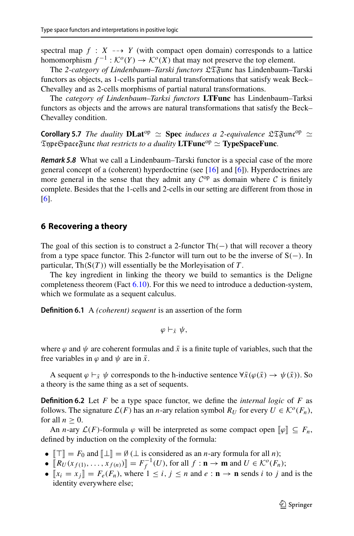spectral map  $f : X \dashrightarrow Y$  (with compact open domain) corresponds to a lattice homomorphism  $f^{-1}: \mathcal{K}^o(Y) \to \mathcal{K}^o(X)$  that may not preserve the top element.

The *2-category of Lindenbaum–Tarski functors* LTFunc has Lindenbaum–Tarski functors as objects, as 1-cells partial natural transformations that satisfy weak Beck– Chevalley and as 2-cells morphisms of partial natural transformations.

The *category of Lindenbaum–Tarksi functors* **LTFunc** has Lindenbaum–Tarksi functors as objects and the arrows are natural transformations that satisfy the Beck– Chevalley condition.

<span id="page-18-3"></span>**Corollary 5.7** *The duality*  $\bf{DLat}^{op} \simeq \bf{Spec}$  *induces a 2-equivalence*  $\mathfrak{LT}$   $\mathfrak{Fun}^{\rm op} \simeq \mathfrak{Time} \mathfrak{S}$  are  $\mathfrak{S}$  and  $\mathfrak{S}$  are  $\mathfrak{S}$  and  $\mathfrak{S}$  are  $\mathfrak{S}$  are  $\mathfrak{S}$  are  $\mathfrak{S}$  are  $\mathfrak{TypeSpace}$ func *that restricts to a duality*  $\mathbf{LTFunc}^{\mathrm{op}} \simeq \mathbf{TypeSpaceFunc}.$ 

<span id="page-18-1"></span>*Remark 5.8* What we call a Lindenbaum–Tarski functor is a special case of the more general concept of a (coherent) hyperdoctrine (see [\[16](#page-27-4)] and [\[6\]](#page-27-5)). Hyperdoctrines are more general in the sense that they admit any  $C^{op}$  as domain where C is finitely complete. Besides that the 1-cells and 2-cells in our setting are different from those in [\[6](#page-27-5)].

#### <span id="page-18-0"></span>**6 Recovering a theory**

The goal of this section is to construct a 2-functor  $Th(-)$  that will recover a theory from a type space functor. This 2-functor will turn out to be the inverse of  $S(-)$ . In particular,  $\text{Th}(S(T))$  will essentially be the Morley isation of T.

The key ingredient in linking the theory we build to semantics is the Deligne completeness theorem (Fact [6.10\)](#page-21-0). For this we need to introduce a deduction-system, which we formulate as a sequent calculus.

**Definition 6.1** A *(coherent) sequent* is an assertion of the form

$$
\varphi\vdash_{\bar{x}}\psi,
$$

where  $\varphi$  and  $\psi$  are coherent formulas and  $\bar{x}$  is a finite tuple of variables, such that the free variables in  $\varphi$  and  $\psi$  are in  $\bar{x}$ .

<span id="page-18-2"></span>A sequent  $\varphi \vdash_{\bar{x}} \psi$  corresponds to the h-inductive sentence  $\forall \bar{x}(\varphi(\bar{x}) \rightarrow \psi(\bar{x}))$ . So a theory is the same thing as a set of sequents.

**Definition 6.2** Let *F* be a type space functor, we define the *internal logic* of *F* as follows. The signature  $\mathcal{L}(F)$  has an *n*-ary relation symbol  $R_U$  for every  $U \in \mathcal{K}^o(F_n)$ , for all  $n \geq 0$ .

An *n*-ary  $\mathcal{L}(F)$ -formula  $\varphi$  will be interpreted as some compact open  $[\![\varphi]\!] \subseteq F_n$ , defined by induction on the complexity of the formula:

- $\llbracket \top \rrbracket = F_0$  and  $\llbracket \bot \rrbracket = \emptyset$  ( $\bot$  is considered as an *n*-ary formula for all *n*);
- $\bullet$   $[ [R_U(x_{f(1)},..., x_{f(n)})] ] = F_f^{-1}(U)$ , for all *f* : **n** → **m** and  $U \in K^o(F_n)$ ;
- $\llbracket x_i = x_j \rrbracket = F_e(F_n)$ , where  $1 \le i, j \le n$  and  $e : \mathbf{n} \to \mathbf{n}$  sends *i* to *j* and is the identity everywhere else;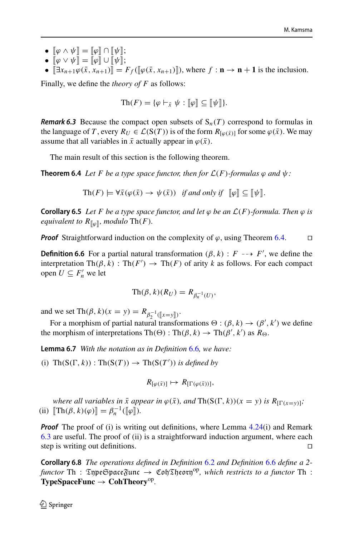- $\bullet \;\; [\![\varphi \wedge \psi ]\!] = [\![\varphi ]\!] \cap [\![\psi ]\!] ;$
- $\bullet~~\lbrack\lbrack\varphi\vee\psi\rbrack\rbrack=\lbrack\lbrack\varphi\rbrack\rbrack\cup\lbrack\lbrack\psi\rbrack\rbrack;$
- $\bullet$   $[\exists x_{n+1}\varphi(\bar{x}, x_{n+1})] = F_f([\varphi(\bar{x}, x_{n+1})])$ , where  $f : \mathbf{n} \to \mathbf{n} + \mathbf{1}$  is the inclusion.

Finally, we define the *theory of F* as follows:

$$
\mathrm{Th}(F) = \{ \varphi \vdash_{\bar{x}} \psi : [\![\varphi]\!] \subseteq [\![\psi]\!] \}.
$$

<span id="page-19-2"></span>*Remark 6.3* Because the compact open subsets of  $S_n(T)$  correspond to formulas in the language of *T*, every  $R_U \in \mathcal{L}(S(T))$  is of the form  $R_{\lceil \varphi(\bar{x}) \rceil}$  for some  $\varphi(\bar{x})$ . We may assume that all variables in  $\bar{x}$  actually appear in  $\varphi(\bar{x})$ .

<span id="page-19-0"></span>The main result of this section is the following theorem.

**Theorem 6.4** *Let F be a type space functor, then for*  $\mathcal{L}(F)$ *-formulas*  $\varphi$  *and*  $\psi$ *:* 

$$
\text{Th}(F) \models \forall \bar{x}(\varphi(\bar{x}) \to \psi(\bar{x})) \text{ if and only if } [\![\varphi]\!] \subseteq [\![\psi]\!].
$$

<span id="page-19-4"></span>**Corollary 6.5** *Let F be a type space functor, and let*  $\varphi$  *be an*  $\mathcal{L}(F)$ *-formula. Then*  $\varphi$  *is equivalent to*  $R_{[\![\varphi]\!]}$ *, modulo* Th $(F)$ *.* 

<span id="page-19-1"></span>*Proof* Straightforward induction on the complexity of  $\varphi$ , using Theorem [6.4.](#page-19-0)  $\Box$ 

**Definition 6.6** For a partial natural transformation  $(\beta, k)$  :  $F \rightarrow F'$ , we define the interpretation  $\text{Th}(\beta, k) : \text{Th}(F') \to \text{Th}(F)$  of arity *k* as follows. For each compact open  $U \subseteq F'_n$  we let

$$
\text{Th}(\beta, k)(R_U) = R_{\beta_n^{-1}(U)},
$$

and we set  $\text{Th}(\beta, k)(x = y) = R_{\beta_2^{-1}(\llbracket x = y \rrbracket)}$ .

For a morphism of partial natural transformations  $\Theta : (\beta, k) \to (\beta', k')$  we define the morphism of interpretations  $\text{Th}(\Theta) : \text{Th}(\beta, k) \to \text{Th}(\beta', k')$  as  $R_{\Theta}$ .

<span id="page-19-3"></span>**Lemma 6.7** *With the notation as in Definition* [6.6](#page-19-1)*, we have:*

(i)  $\text{Th}(S(\Gamma, k)) : \text{Th}(S(T)) \to \text{Th}(S(T'))$  *is defined by* 

$$
R_{\left[\varphi(\bar{x})\right]} \mapsto R_{\left[\Gamma(\varphi(\bar{x}))\right]},
$$

*where all variables in*  $\bar{x}$  *appear in*  $\varphi(\bar{x})$ *, and*  $\text{Th}(S(\Gamma, k))(x = y)$  *is*  $R_{[\Gamma(x = y)]}$ *;* (ii)  $\[\text{Th}(\beta, k)(\varphi)\] = \beta_n^{-1}([\varphi]).\]$ 

*Proof* The proof of (i) is writing out definitions, where Lemma [4.24\(](#page-14-1)i) and Remark [6.3](#page-19-2) are useful. The proof of (ii) is a straightforward induction argument, where each step is writing out definitions.

**Corollary 6.8** *The operations defined in Definition* [6.2](#page-18-2) *and Definition* [6.6](#page-19-1) *define a 2 functor* Th:  $\mathfrak{Im} \mathfrak{Hom}$   $\mathfrak{Hom}$   $\mathfrak{Hom}$   $\mathfrak{Hom}$   $\mathfrak{Hom}$   $\mathfrak{Hom}$   $\mathfrak{Hom}$   $\mathfrak{Hom}$   $\mathfrak{Hom}$   $\mathfrak{Hom}$   $\mathfrak{Hom}$   $\mathfrak{Hom}$   $\mathfrak{Hom}$   $\mathfrak{Hom}$   $\mathfrak{Hom}$   $\mathfrak{Hom}$   $\mathfrak{Hom}$   $\mathfrak{Hom}$   $\mathfrak{Hom}$   $\mathfrak{Hom}$  **TypeSpaceFunc** <sup>→</sup> **CohTheory**op*.*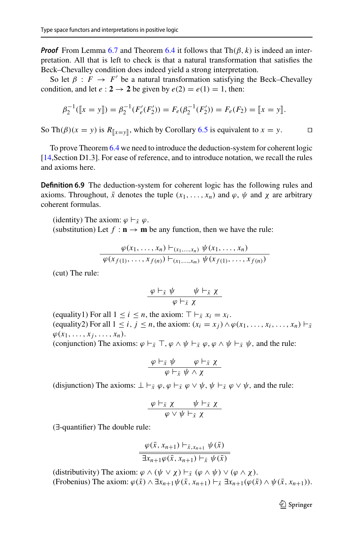*Proof* From Lemma [6.7](#page-19-3) and Theorem [6.4](#page-19-0) it follows that  $Th(\beta, k)$  is indeed an interpretation. All that is left to check is that a natural transformation that satisfies the Beck–Chevalley condition does indeed yield a strong interpretation.

So let  $\beta$  :  $F \to F'$  be a natural transformation satisfying the Beck–Chevalley condition, and let  $e: 2 \rightarrow 2$  be given by  $e(2) = e(1) = 1$ , then:

$$
\beta_2^{-1}([x = y]) = \beta_2^{-1}(F'_e(F'_2)) = F_e(\beta_2^{-1}(F'_2)) = F_e(F_2) = [x = y].
$$

So Th( $\beta$ )( $x = y$ ) is  $R_{x=y}$ , which by Corollary [6.5](#page-19-4) is equivalent to  $x = y$ .

<span id="page-20-0"></span>To prove Theorem [6.4](#page-19-0) we need to introduce the deduction-system for coherent logic [\[14](#page-27-14), Section D1.3]. For ease of reference, and to introduce notation, we recall the rules and axioms here.

**Definition 6.9** The deduction-system for coherent logic has the following rules and axioms. Throughout,  $\bar{x}$  denotes the tuple  $(x_1, \ldots, x_n)$  and  $\varphi$ ,  $\psi$  and  $\chi$  are arbitrary coherent formulas.

(identity) The axiom:  $\varphi \vdash_{\bar{x}} \varphi$ . (substitution) Let  $f : \mathbf{n} \to \mathbf{m}$  be any function, then we have the rule:

$$
\frac{\varphi(x_1,\ldots,x_n)\vdash_{(x_1,\ldots,x_n)}\psi(x_1,\ldots,x_n)}{\varphi(x_{f(1)},\ldots,x_{f(n)})\vdash_{(x_1,\ldots,x_m)}\psi(x_{f(1)},\ldots,x_{f(n)})}
$$

(cut) The rule:

$$
\frac{\varphi\vdash_{\bar{x}}\psi\qquad\psi\vdash_{\bar{x}}\chi}{\varphi\vdash_{\bar{x}}\chi}
$$

(equality1) For all  $1 \le i \le n$ , the axiom:  $\top \vdash_{\bar{x}} x_i = x_i$ . (equality2) For all  $1 \le i, j \le n$ , the axiom:  $(x_i = x_j) \wedge \varphi(x_1, \ldots, x_i, \ldots, x_n) \vdash_{\bar{x}}$  $\varphi(x_1, \ldots, x_i, \ldots, x_n).$ 

(conjunction) The axioms:  $\varphi \vdash_{\bar{x}} \top$ ,  $\varphi \land \psi \vdash_{\bar{x}} \varphi$ ,  $\varphi \land \psi \vdash_{\bar{x}} \psi$ , and the rule:

$$
\frac{\varphi\vdash_{\bar{x}}\psi\qquad \varphi\vdash_{\bar{x}}\chi}{\varphi\vdash_{\bar{x}}\psi\land\chi}
$$

(disjunction) The axioms:  $\perp \vdash_{\bar{x}} \varphi, \varphi \vdash_{\bar{x}} \varphi \lor \psi, \psi \vdash_{\bar{x}} \varphi \lor \psi$ , and the rule:

$$
\frac{\varphi\vdash_{\bar{x}}\chi\qquad\psi\vdash_{\bar{x}}\chi}{\varphi\vee\psi\vdash_{\bar{x}}\chi}
$$

(∃-quantifier) The double rule:

$$
\frac{\varphi(\bar{x}, x_{n+1}) \vdash_{\bar{x}, x_{n+1}} \psi(\bar{x})}{\exists x_{n+1}\varphi(\bar{x}, x_{n+1}) \vdash_{\bar{x}} \psi(\bar{x})}
$$

(distributivity) The axiom:  $\varphi \wedge (\psi \vee \chi) \vdash_{\bar{x}} (\varphi \wedge \psi) \vee (\varphi \wedge \chi)$ . (Frobenius) The axiom:  $\varphi(\bar{x}) \wedge \exists x_{n+1} \psi(\bar{x}, x_{n+1}) \vdash_{\bar{x}} \exists x_{n+1}(\varphi(\bar{x}) \wedge \psi(\bar{x}, x_{n+1})).$ 

<sup>2</sup> Springer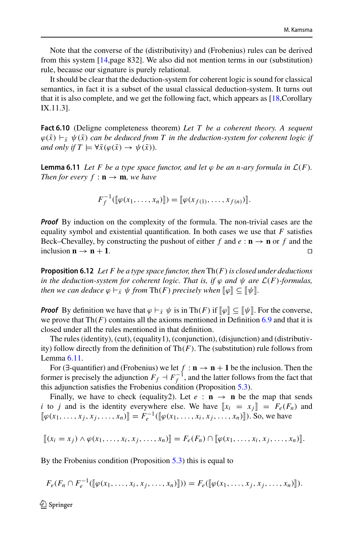Note that the converse of the (distributivity) and (Frobenius) rules can be derived from this system [\[14](#page-27-14),page 832]. We also did not mention terms in our (substitution) rule, because our signature is purely relational.

It should be clear that the deduction-system for coherent logic is sound for classical semantics, in fact it is a subset of the usual classical deduction-system. It turns out that it is also complete, and we get the following fact, which appears as [\[18](#page-27-13),Corollary IX.11.3].

<span id="page-21-0"></span>**Fact 6.10** (Deligne completeness theorem) *Let T be a coherent theory. A sequent*  $\varphi(\bar{x}) \vdash_{\bar{x}} \psi(\bar{x})$  *can be deduced from T in the deduction-system for coherent logic if and only if*  $T \models \forall \bar{x}(\varphi(\bar{x}) \rightarrow \psi(\bar{x})).$ 

<span id="page-21-1"></span>**Lemma 6.11** *Let* F *be a type space functor, and let*  $\varphi$  *be an n-ary formula in*  $\mathcal{L}(F)$ *. Then for every*  $f : \mathbf{n} \to \mathbf{m}$ *, we have* 

$$
F_f^{-1}([\![\varphi(x_1,\ldots,x_n)]\!])=[[\![\varphi(x_{f(1)},\ldots,x_{f(n)})\!]]
$$

*Proof* By induction on the complexity of the formula. The non-trivial cases are the equality symbol and existential quantification. In both cases we use that *F* satisfies Beck–Chevalley, by constructing the pushout of either f and  $e : \mathbf{n} \to \mathbf{n}$  or f and the inclusion  $\mathbf{n} \to \mathbf{n} + \mathbf{1}$ .

<span id="page-21-2"></span>**Proposition 6.12** *Let F be a type space functor, then* Th(*F*)*is closed under deductions in the deduction-system for coherent logic. That is, if*  $\varphi$  *and*  $\psi$  *are*  $\mathcal{L}(F)$ *-formulas, then we can deduce*  $\varphi \vdash_{\bar{x}} \psi$  *from*  $\text{Th}(F)$  *precisely when*  $\llbracket \varphi \rrbracket \subseteq \llbracket \psi \rrbracket$ .

*Proof* By definition we have that  $\varphi \vdash_{\bar{x}} \psi$  is in Th(*F*) if  $[\![\varphi]\!] \subseteq [\![\psi]\!]$ . For the converse, we prove that  $Th(F)$  contains all the axioms mentioned in Definition [6.9](#page-20-0) and that it is closed under all the rules mentioned in that definition.

The rules (identity), (cut), (equality1), (conjunction), (disjunction) and (distributivity) follow directly from the definition of  $Th(F)$ . The (substitution) rule follows from Lemma [6.11.](#page-21-1)

For ( $\exists$ -quantifier) and (Frobenius) we let  $f : \mathbf{n} \to \mathbf{n} + \mathbf{1}$  be the inclusion. Then the former is precisely the adjunction  $F_f \dashv F_f^{-1}$ , and the latter follows from the fact that this adjunction satisfies the Frobenius condition (Proposition [5.3\)](#page-16-0).

Finally, we have to check (equality2). Let  $e : \mathbf{n} \to \mathbf{n}$  be the map that sends *i* to *j* and is the identity everywhere else. We have  $\llbracket x_i = x_j \rrbracket = F_e(F_n)$  and  $[$ *φ*(*x*<sub>1</sub>, ..., *x*<sub>*j*</sub>, *x*<sub>*j*</sub>, ..., *x<sub>n</sub>*) $]$  $= F_e^{-1}$ ( $[$  $|$  $φ(x_1, ..., x_i, x_j, ..., x_n)$  $]$ ). So, we have

$$
[[ (x_i = x_j) \wedge \varphi(x_1, \ldots, x_i, x_j, \ldots, x_n)]] = F_e(F_n) \cap [[\varphi(x_1, \ldots, x_i, x_j, \ldots, x_n)]]
$$

By the Frobenius condition (Proposition [5.3\)](#page-16-0) this is equal to

$$
F_e(F_n \cap F_e^{-1}(\llbracket \varphi(x_1,\ldots,x_i,x_j,\ldots,x_n)\rrbracket)) = F_e(\llbracket \varphi(x_1,\ldots,x_j,x_j,\ldots,x_n)\rrbracket).
$$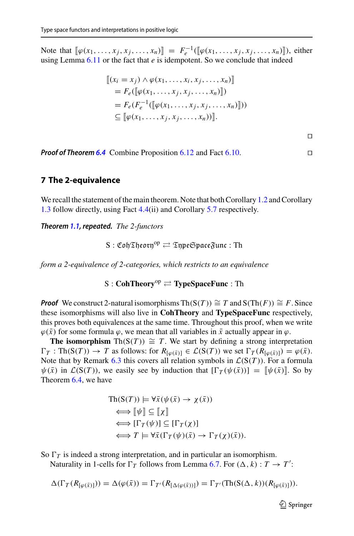Note that  $[\![\varphi(x_1, \ldots, x_j, x_j, \ldots, x_n)]\!] = F_e^{-1}([\![\varphi(x_1, \ldots, x_j, x_j, \ldots, x_n)]\!])$ , either using Lemma  $6.11$  or the fact that  $e$  is idempotent. So we conclude that indeed

$$
[[ (xi = xj) \wedge \varphi(x1,...,xi, xj,...,xn)]]
$$
  
=  $F_e([\varphi(x_1,...,x_j, x_j,...,x_n)]])$   
=  $F_e(F_e^{-1}([\varphi(x_1,...,x_j, x_j,...,x_n)]))$   
 $\subseteq [\varphi(x_1,...,x_j, x_j,...,x_n))].$ 

 $\Box$ 

*Proof of Theorem [6.4](#page-19-0)* Combine Proposition [6.12](#page-21-2) and Fact [6.10.](#page-21-0)

#### <span id="page-22-0"></span>**7 The 2-equivalence**

We recall the statement of the main theorem. Note that both Corollary [1.2](#page-2-1) and Corollary [1.3](#page-2-2) follow directly, using Fact [4.4\(](#page-8-1)ii) and Corollary [5.7](#page-18-3) respectively.

*Theorem [1.1,](#page-2-0) repeated. The 2-functors*

$$
S: \mathfrak{Coh}\mathfrak{Theorn}^{\mathrm{op}} \rightleftarrows \mathfrak{TypeSpace}\mathfrak{Func}: \mathrm{Th}
$$

*form a 2-equivalence of 2-categories, which restricts to an equivalence*

**S** : **CohTheory<sup>op</sup>**  $\rightleftharpoons$  **<b>TypeSpaceFunc** : Th

*Proof* We construct 2-natural isomorphisms Th( $S(T)$ )  $\cong T$  and  $S(Th(F)) \cong F$ . Since these isomorphisms will also live in **CohTheory** and **TypeSpaceFunc** respectively, this proves both equivalences at the same time. Throughout this proof, when we write  $\varphi(\bar{x})$  for some formula  $\varphi$ , we mean that all variables in  $\bar{x}$  actually appear in  $\varphi$ .

**The isomorphism** Th( $S(T)$ )  $\cong T$ . We start by defining a strong interpretation  $\Gamma_T$ : Th(S(*T*))  $\rightarrow$  *T* as follows: for  $R_{\lceil \omega(\bar{x}) \rceil} \in \mathcal{L}(S(T))$  we set  $\Gamma_T(R_{\lceil \omega(\bar{x}) \rceil}) = \varphi(\bar{x})$ . Note that by Remark [6.3](#page-19-2) this covers all relation symbols in  $\mathcal{L}(S(T))$ . For a formula  $\psi(\bar{x})$  in  $\mathcal{L}(S(T))$ , we easily see by induction that  $[\Gamma_T(\psi(\bar{x}))] = [\psi(\bar{x})]$ . So by Theorem [6.4,](#page-19-0) we have

$$
\begin{aligned} \text{Th}(S(T)) &\models \forall \bar{x}(\psi(\bar{x}) \to \chi(\bar{x})) \\ &\iff \llbracket \psi \rrbracket \subseteq \llbracket \chi \rrbracket \\ &\iff [\Gamma_T(\psi)] \subseteq [\Gamma_T(\chi)] \\ &\iff T \models \forall \bar{x}(\Gamma_T(\psi)(\bar{x}) \to \Gamma_T(\chi)(\bar{x})). \end{aligned}
$$

So  $\Gamma_T$  is indeed a strong interpretation, and in particular an isomorphism.

Naturality in 1-cells for  $\Gamma_T$  follows from Lemma [6.7.](#page-19-3) For  $(\Delta, k) : T \to T'$ :

$$
\Delta(\Gamma_T(R_{[\varphi(\bar{x})]})) = \Delta(\varphi(\bar{x})) = \Gamma_{T'}(R_{[\Delta(\varphi(\bar{x}))]}) = \Gamma_{T'}(\text{Th}(S(\Delta, k))(R_{[\varphi(\bar{x})]})).
$$

 $\circled{2}$  Springer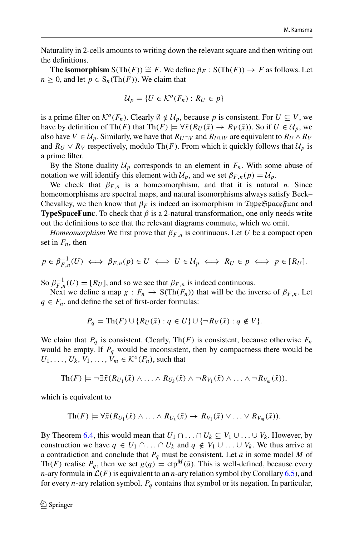Naturality in 2-cells amounts to writing down the relevant square and then writing out the definitions.

**The isomorphism**  $S(Th(F)) \cong F$ . We define  $\beta_F : S(Th(F)) \to F$  as follows. Let  $n \geq 0$ , and let  $p \in S_n(\text{Th}(F))$ . We claim that

$$
\mathcal{U}_p = \{U \in \mathcal{K}^o(F_n) : R_U \in p\}
$$

is a prime filter on  $K^o(F_n)$ . Clearly  $\emptyset \notin \mathcal{U}_p$ , because p is consistent. For  $U \subseteq V$ , we have by definition of Th(*F*) that Th(*F*)  $\models \forall \bar{x}(R_U(\bar{x}) \rightarrow R_V(\bar{x}))$ . So if  $U \in \mathcal{U}_p$ , we also have  $V \in U_p$ . Similarly, we have that  $R_{U \cap V}$  and  $R_{U \cup V}$  are equivalent to  $R_U \wedge R_V$ and  $R_U \vee R_V$  respectively, modulo Th(*F*). From which it quickly follows that  $U_p$  is a prime filter.

By the Stone duality  $\mathcal{U}_p$  corresponds to an element in  $F_n$ . With some abuse of notation we will identify this element with  $\mathcal{U}_p$ , and we set  $\beta_{F,n}(p) = \mathcal{U}_p$ .

We check that  $\beta_{F,n}$  is a homeomorphism, and that it is natural *n*. Since homeomorphisms are spectral maps, and natural isomorphisms always satisfy Beck– Chevalley, we then know that  $\beta_F$  is indeed an isomorphism in  $\mathfrak{TypeSpace}$  function **TypeSpaceFunc**. To check that  $\beta$  is a 2-natural transformation, one only needs write out the definitions to see that the relevant diagrams commute, which we omit.

*Homeomorphism* We first prove that  $\beta_{F,n}$  is continuous. Let *U* be a compact open set in  $F_n$ , then

$$
p \in \beta_{F,n}^{-1}(U) \iff \beta_{F,n}(p) \in U \iff U \in \mathcal{U}_p \iff R_U \in p \iff p \in [R_U].
$$

So  $\beta_{F,n}^{-1}(U) = [R_U]$ , and so we see that  $\beta_{F,n}$  is indeed continuous.

Next we define a map  $g : F_n \to S(Th(F_n))$  that will be the inverse of  $\beta_{F,n}$ . Let  $q \in F_n$ , and define the set of first-order formulas:

$$
P_q = \text{Th}(F) \cup \{ R_U(\bar{x}) : q \in U \} \cup \{ \neg R_V(\bar{x}) : q \notin V \}.
$$

We claim that  $P_q$  is consistent. Clearly, Th( $F$ ) is consistent, because otherwise  $F_n$ would be empty. If  $P_q$  would be inconsistent, then by compactness there would be  $U_1, \ldots, U_k, V_1, \ldots, V_m \in \mathcal{K}^o(F_n)$ , such that

$$
\mathrm{Th}(F) \models \neg \exists \bar{x} (R_{U_1}(\bar{x}) \land \ldots \land R_{U_k}(\bar{x}) \land \neg R_{V_1}(\bar{x}) \land \ldots \land \neg R_{V_m}(\bar{x})),
$$

which is equivalent to

$$
\mathrm{Th}(F) \models \forall \bar{x}(R_{U_1}(\bar{x}) \wedge \ldots \wedge R_{U_k}(\bar{x}) \rightarrow R_{V_1}(\bar{x}) \vee \ldots \vee R_{V_m}(\bar{x})).
$$

By Theorem [6.4,](#page-19-0) this would mean that  $U_1 \cap \ldots \cap U_k \subseteq V_1 \cup \ldots \cup V_k$ . However, by construction we have  $q \in U_1 \cap ... \cap U_k$  and  $q \notin V_1 \cup ... \cup V_k$ . We thus arrive at a contradiction and conclude that  $P_q$  must be consistent. Let  $\bar{a}$  in some model *M* of Th(*F*) realise  $P_q$ , then we set  $g(q) = \text{ctp}^M(\bar{a})$ . This is well-defined, because every *n*-ary formula in  $\mathcal{L}(F)$  is equivalent to an *n*-ary relation symbol (by Corollary [6.5\)](#page-19-4), and for every *n*-ary relation symbol, *Pq* contains that symbol or its negation. In particular,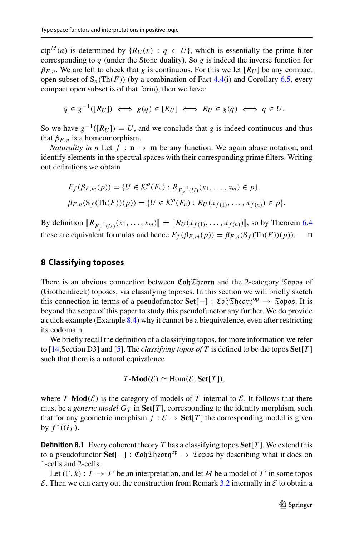$ctp^{M}(a)$  is determined by  ${R_U(x) : q \in U}$ , which is essentially the prime filter corresponding to *q* (under the Stone duality). So *g* is indeed the inverse function for  $\beta_{F,n}$ . We are left to check that *g* is continuous. For this we let  $[R_U]$  be any compact open subset of  $S_n(Th(F))$  (by a combination of Fact [4.4\(](#page-8-1)i) and Corollary [6.5,](#page-19-4) every compact open subset is of that form), then we have:

$$
q \in g^{-1}([R_U]) \iff g(q) \in [R_U] \iff R_U \in g(q) \iff q \in U.
$$

So we have  $g^{-1}([R_U]) = U$ , and we conclude that *g* is indeed continuous and thus that  $\beta_{F,n}$  is a homeomorphism.

*Naturality in n* Let  $f : \mathbf{n} \to \mathbf{m}$  be any function. We again abuse notation, and identify elements in the spectral spaces with their corresponding prime filters. Writing out definitions we obtain

$$
F_f(\beta_{F,m}(p)) = \{ U \in \mathcal{K}^o(F_n) : R_{F_f^{-1}(U)}(x_1, ..., x_m) \in p \},\
$$
  

$$
\beta_{F,n}(S_f(Th(F))(p)) = \{ U \in \mathcal{K}^o(F_n) : R_U(x_{f(1)}, ..., x_{f(n)}) \in p \}.
$$

 $\text{By definition } [R_{F_f^{-1}(U)}(x_1, \ldots, x_m)] = [R_U(x_{f(1)}, \ldots, x_{f(n)})]$ , so by Theorem [6.4](#page-19-0) these are equivalent formulas and hence  $F_f(\beta_{F,m}(p)) = \beta_{F,n}(S_f(Th(F))(p)).$ 

#### <span id="page-24-0"></span>**8 Classifying toposes**

There is an obvious connection between  $\mathfrak{C}$  of  $\mathfrak{Top}$  and the 2-category  $\mathfrak{Top}$  of (Grothendieck) toposes, via classifying toposes. In this section we will briefly sketch this connection in terms of a pseudofunctor **Set**[−] :  $\mathfrak{C}$ *oh* $\mathfrak{D}$ *heory*<sup>op</sup>  $\rightarrow$   $\mathfrak{Topos}.$  It is beyond the scope of this paper to study this pseudofunctor any further. We do provide a quick example (Example [8.4\)](#page-25-1) why it cannot be a biequivalence, even after restricting its codomain.

We briefly recall the definition of a classifying topos, for more information we refer to [\[14,](#page-27-14)Section D3] and [\[5](#page-27-15)]. The *classifying topos of T* is defined to be the topos **Set**[*T* ] such that there is a natural equivalence

$$
T\text{-}\mathbf{Mod}(\mathcal{E}) \simeq \mathbf{Hom}(\mathcal{E}, \mathbf{Set}[T]),
$$

where  $T \cdot \text{Mod}(\mathcal{E})$  is the category of models of  $T$  internal to  $\mathcal{E}$ . It follows that there must be a *generic model*  $G_T$  in  $\text{Set}[T]$ , corresponding to the identity morphism, such that for any geometric morphism  $f : \mathcal{E} \to \mathbf{Set}[T]$  the corresponding model is given by  $f^*(G_T)$ .

**Definition 8.1** Every coherent theory *T* has a classifying topos **Set**[*T* ]. We extend this to a pseudofunctor **Set**[−] : CohTheoryop <sup>→</sup> Topos by describing what it does on 1-cells and 2-cells.

Let  $(\Gamma, k) : T \to T'$  be an interpretation, and let M be a model of T' in some topos  $\mathcal{E}$ . Then we can carry out the construction from Remark [3.2](#page-5-2) internally in  $\mathcal{E}$  to obtain a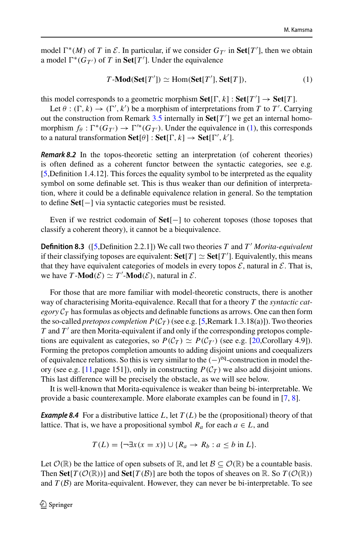model  $\Gamma^*(M)$  of *T* in *E*. In particular, if we consider  $G_T$  in  $\text{Set}[T']$ , then we obtain a model  $\Gamma^*(G_{T'})$  of *T* in **Set**[*T'*]. Under the equivalence

<span id="page-25-2"></span>
$$
T\text{-}\mathbf{Mod}(\mathbf{Set}[T']) \simeq \text{Hom}(\mathbf{Set}[T'], \mathbf{Set}[T]),\tag{1}
$$

this model corresponds to a geometric morphism  $\textbf{Set}[\Gamma, k] : \textbf{Set}[T'] \rightarrow \textbf{Set}[T]$ .

Let  $\theta : (\Gamma, k) \to (\Gamma', k')$  be a morphism of interpretations from *T* to *T'*. Carrying out the construction from Remark  $3.5$  internally in  $\text{Set}[T']$  we get an internal homomorphism  $f_{\theta} : \Gamma^*(G_{T'}) \to \Gamma'^*(G_{T'})$ . Under the equivalence in [\(1\)](#page-25-2), this corresponds to a natural transformation  $\textbf{Set}[\theta] : \textbf{Set}[\Gamma, k] \to \textbf{Set}[\Gamma', k']$ .

<span id="page-25-0"></span>*Remark 8.2* In the topos-theoretic setting an interpretation (of coherent theories) is often defined as a coherent functor between the syntactic categories, see e.g. [\[5](#page-27-15),Definition 1.4.12]. This forces the equality symbol to be interpreted as the equality symbol on some definable set. This is thus weaker than our definition of interpretation, where it could be a definable equivalence relation in general. So the temptation to define **Set**[−] via syntactic categories must be resisted.

Even if we restrict codomain of **Set**[−] to coherent toposes (those toposes that classify a coherent theory), it cannot be a biequivalence.

**Definition 8.3** ([\[5](#page-27-15),Definition 2.2.1]) We call two theories *T* and *T' Morita-equivalent* if their classifying toposes are equivalent:  $\textbf{Set}[T] \simeq \textbf{Set}[T']$ . Equivalently, this means that they have equivalent categories of models in every topos  $\mathcal{E}$ , natural in  $\mathcal{E}$ . That is, we have  $T \text{-}Mod(\mathcal{E}) \simeq T' \text{-}Mod(\mathcal{E})$ , natural in  $\mathcal{E}$ .

For those that are more familiar with model-theoretic constructs, there is another way of characterising Morita-equivalence. Recall that for a theory *T* the *syntactic cat* $egory C_T$  has formulas as objects and definable functions as arrows. One can then form the so-called *pretopos completion*  $P(\mathcal{C}_T)$  (see e.g. [\[5,](#page-27-15) Remark 1.3.18(a)]). Two theories  $T$  and  $T'$  are then Morita-equivalent if and only if the corresponding pretopos completions are equivalent as categories, so  $P(C_T) \simeq P(C_{T'})$  (see e.g. [\[20,](#page-27-16)Corollary 4.9]). Forming the pretopos completion amounts to adding disjoint unions and coequalizers of equivalence relations. So this is very similar to the  $(-)$ <sup>eq</sup>-construction in model the-ory (see e.g. [\[11](#page-27-12),page 151]), only in constructing  $P(C_T)$  we also add disjoint unions. This last difference will be precisely the obstacle, as we will see below.

<span id="page-25-1"></span>It is well-known that Morita-equivalence is weaker than being bi-interpretable. We provide a basic counterexample. More elaborate examples can be found in [\[7](#page-27-17), [8](#page-27-18)].

**Example 8.4** For a distributive lattice  $L$ , let  $T(L)$  be the (propositional) theory of that lattice. That is, we have a propositional symbol  $R_a$  for each  $a \in L$ , and

$$
T(L) = \{\neg \exists x (x = x)\} \cup \{R_a \rightarrow R_b : a \leq b \text{ in } L\}.
$$

Let  $\mathcal{O}(\mathbb{R})$  be the lattice of open subsets of  $\mathbb{R}$ , and let  $\mathcal{B} \subseteq \mathcal{O}(\mathbb{R})$  be a countable basis. Then **Set**[ $T(\mathcal{O}(\mathbb{R}))$ ] and **Set**[ $T(\mathcal{B})$ ] are both the topos of sheaves on R. So  $T(\mathcal{O}(\mathbb{R}))$ and  $T(\mathcal{B})$  are Morita-equivalent. However, they can never be bi-interpretable. To see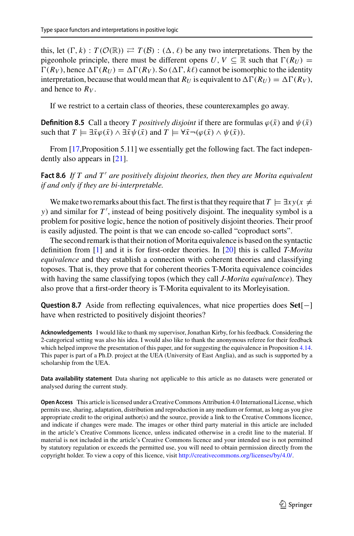this, let  $(\Gamma, k)$ :  $T(\mathcal{O}(\mathbb{R})) \rightleftarrows T(\mathcal{B})$ :  $(\Delta, \ell)$  be any two interpretations. Then by the pigeonhole principle, there must be different opens *U*,  $V \subseteq \mathbb{R}$  such that  $\Gamma(R_U) =$  $\Gamma(R_V)$ , hence  $\Delta \Gamma(R_U) = \Delta \Gamma(R_V)$ . So  $(\Delta \Gamma, k\ell)$  cannot be isomorphic to the identity interpretation, because that would mean that  $R_U$  is equivalent to  $\Delta \Gamma(R_U) = \Delta \Gamma(R_V)$ , and hence to  $R_V$ .

If we restrict to a certain class of theories, these counterexamples go away.

**Definition 8.5** Call a theory *T* positively disjoint if there are formulas  $\varphi(\bar{x})$  and  $\psi(\bar{x})$ such that  $T \models \exists \bar{x} \varphi(\bar{x}) \land \exists \bar{x} \psi(\bar{x})$  and  $T \models \forall \bar{x} \neg (\varphi(\bar{x}) \land \psi(\bar{x})).$ 

From [\[17](#page-27-19), Proposition 5.11] we essentially get the following fact. The fact independently also appears in [\[21](#page-27-20)].

**Fact 8.6** *If T and T' are positively disjoint theories, then they are Morita equivalent if and only if they are bi-interpretable.*

We make two remarks about this fact. The first is that they require that  $T \models \exists x y (x \neq 0)$ *y*) and similar for *T'*, instead of being positively disjoint. The inequality symbol is a problem for positive logic, hence the notion of positively disjoint theories. Their proof is easily adjusted. The point is that we can encode so-called "coproduct sorts".

The second remark is that their notion ofMorita equivalence is based on the syntactic definition from [\[1\]](#page-27-21) and it is for first-order theories. In [\[20\]](#page-27-16) this is called *T-Morita equivalence* and they establish a connection with coherent theories and classifying toposes. That is, they prove that for coherent theories T-Morita equivalence coincides with having the same classifying topos (which they call *J-Morita equivalence*). They also prove that a first-order theory is T-Morita equivalent to its Morleyisation.

**Question 8.7** Aside from reflecting equivalences, what nice properties does **Set**[−] have when restricted to positively disjoint theories?

**Acknowledgements** I would like to thank my supervisor, Jonathan Kirby, for his feedback. Considering the 2-categorical setting was also his idea. I would also like to thank the anonymous referee for their feedback which helped improve the presentation of this paper, and for suggesting the equivalence in Proposition [4.14.](#page-11-0) This paper is part of a Ph.D. project at the UEA (University of East Anglia), and as such is supported by a scholarship from the UEA.

**Data availability statement** Data sharing not applicable to this article as no datasets were generated or analysed during the current study.

**Open Access** This article is licensed under a Creative Commons Attribution 4.0 International License, which permits use, sharing, adaptation, distribution and reproduction in any medium or format, as long as you give appropriate credit to the original author(s) and the source, provide a link to the Creative Commons licence, and indicate if changes were made. The images or other third party material in this article are included in the article's Creative Commons licence, unless indicated otherwise in a credit line to the material. If material is not included in the article's Creative Commons licence and your intended use is not permitted by statutory regulation or exceeds the permitted use, you will need to obtain permission directly from the copyright holder. To view a copy of this licence, visit [http://creativecommons.org/licenses/by/4.0/.](http://creativecommons.org/licenses/by/4.0/)